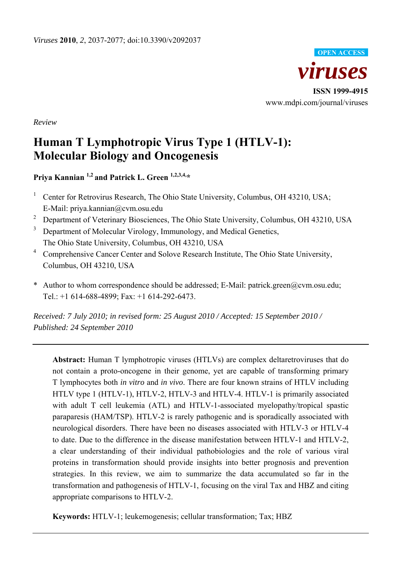

*Review* 

# **Human T Lymphotropic Virus Type 1 (HTLV-1): Molecular Biology and Oncogenesis**

**Priya Kannian 1,2 and Patrick L. Green 1,2,3,4,\***

- 1 Center for Retrovirus Research, The Ohio State University, Columbus, OH 43210, USA; E-Mail: priya.kannian@cvm.osu.edu
- <sup>2</sup> Department of Veterinary Biosciences, The Ohio State University, Columbus, OH 43210, USA
- 3 Department of Molecular Virology, Immunology, and Medical Genetics, The Ohio State University, Columbus, OH 43210, USA
- 4 Comprehensive Cancer Center and Solove Research Institute, The Ohio State University, Columbus, OH 43210, USA
- \* Author to whom correspondence should be addressed; E-Mail: patrick.green@cvm.osu.edu; Tel.: +1 614-688-4899; Fax: +1 614-292-6473.

*Received: 7 July 2010; in revised form: 25 August 2010 / Accepted: 15 September 2010 / Published: 24 September 2010* 

**Abstract:** Human T lymphotropic viruses (HTLVs) are complex deltaretroviruses that do not contain a proto-oncogene in their genome, yet are capable of transforming primary T lymphocytes both *in vitro* and *in vivo*. There are four known strains of HTLV including HTLV type 1 (HTLV-1), HTLV-2, HTLV-3 and HTLV-4. HTLV-1 is primarily associated with adult T cell leukemia (ATL) and HTLV-1-associated myelopathy/tropical spastic paraparesis (HAM/TSP). HTLV-2 is rarely pathogenic and is sporadically associated with neurological disorders. There have been no diseases associated with HTLV-3 or HTLV-4 to date. Due to the difference in the disease manifestation between HTLV-1 and HTLV-2, a clear understanding of their individual pathobiologies and the role of various viral proteins in transformation should provide insights into better prognosis and prevention strategies. In this review, we aim to summarize the data accumulated so far in the transformation and pathogenesis of HTLV-1, focusing on the viral Tax and HBZ and citing appropriate comparisons to HTLV-2.

**Keywords:** HTLV-1; leukemogenesis; cellular transformation; Tax; HBZ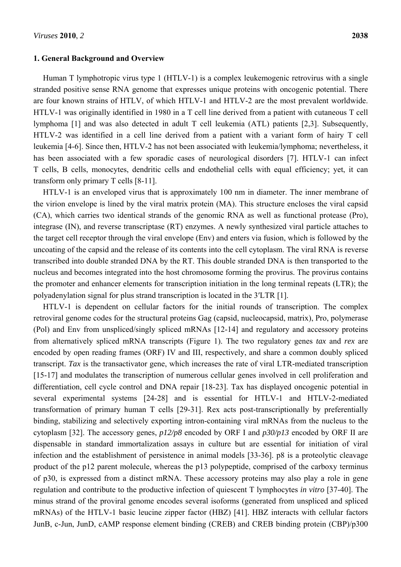#### **1. General Background and Overview**

Human T lymphotropic virus type 1 (HTLV-1) is a complex leukemogenic retrovirus with a single stranded positive sense RNA genome that expresses unique proteins with oncogenic potential. There are four known strains of HTLV, of which HTLV-1 and HTLV-2 are the most prevalent worldwide. HTLV-1 was originally identified in 1980 in a T cell line derived from a patient with cutaneous T cell lymphoma [1] and was also detected in adult T cell leukemia (ATL) patients [2,3]. Subsequently, HTLV-2 was identified in a cell line derived from a patient with a variant form of hairy T cell leukemia [4-6]. Since then, HTLV-2 has not been associated with leukemia/lymphoma; nevertheless, it has been associated with a few sporadic cases of neurological disorders [7]. HTLV-1 can infect T cells, B cells, monocytes, dendritic cells and endothelial cells with equal efficiency; yet, it can transform only primary T cells [8-11].

HTLV-1 is an enveloped virus that is approximately 100 nm in diameter. The inner membrane of the virion envelope is lined by the viral matrix protein (MA). This structure encloses the viral capsid (CA), which carries two identical strands of the genomic RNA as well as functional protease (Pro), integrase (IN), and reverse transcriptase (RT) enzymes. A newly synthesized viral particle attaches to the target cell receptor through the viral envelope (Env) and enters via fusion, which is followed by the uncoating of the capsid and the release of its contents into the cell cytoplasm. The viral RNA is reverse transcribed into double stranded DNA by the RT. This double stranded DNA is then transported to the nucleus and becomes integrated into the host chromosome forming the provirus. The provirus contains the promoter and enhancer elements for transcription initiation in the long terminal repeats (LTR); the polyadenylation signal for plus strand transcription is located in the 3ʹLTR [1].

HTLV-1 is dependent on cellular factors for the initial rounds of transcription. The complex retroviral genome codes for the structural proteins Gag (capsid, nucleocapsid, matrix), Pro, polymerase (Pol) and Env from unspliced/singly spliced mRNAs [12-14] and regulatory and accessory proteins from alternatively spliced mRNA transcripts (Figure 1). The two regulatory genes *tax* and *rex* are encoded by open reading frames (ORF) IV and III, respectively, and share a common doubly spliced transcript. *Tax* is the transactivator gene, which increases the rate of viral LTR-mediated transcription [15-17] and modulates the transcription of numerous cellular genes involved in cell proliferation and differentiation, cell cycle control and DNA repair [18-23]. Tax has displayed oncogenic potential in several experimental systems [24-28] and is essential for HTLV-1 and HTLV-2-mediated transformation of primary human T cells [29-31]. Rex acts post-transcriptionally by preferentially binding, stabilizing and selectively exporting intron-containing viral mRNAs from the nucleus to the cytoplasm [32]. The accessory genes, *p12/p8* encoded by ORF I and *p30/p13* encoded by ORF II are dispensable in standard immortalization assays in culture but are essential for initiation of viral infection and the establishment of persistence in animal models [33-36]. p8 is a proteolytic cleavage product of the p12 parent molecule, whereas the p13 polypeptide, comprised of the carboxy terminus of p30, is expressed from a distinct mRNA. These accessory proteins may also play a role in gene regulation and contribute to the productive infection of quiescent T lymphocytes *in vitro* [37-40]. The minus strand of the proviral genome encodes several isoforms (generated from unspliced and spliced mRNAs) of the HTLV-1 basic leucine zipper factor (HBZ) [41]. HBZ interacts with cellular factors JunB, c-Jun, JunD, cAMP response element binding (CREB) and CREB binding protein (CBP)/p300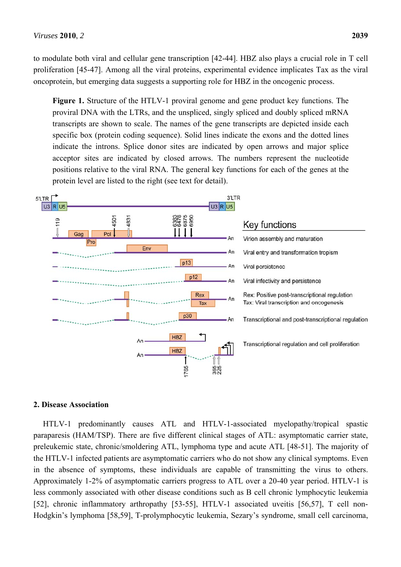to modulate both viral and cellular gene transcription [42-44]. HBZ also plays a crucial role in T cell proliferation [45-47]. Among all the viral proteins, experimental evidence implicates Tax as the viral oncoprotein, but emerging data suggests a supporting role for HBZ in the oncogenic process.

**Figure 1.** Structure of the HTLV-1 proviral genome and gene product key functions. The proviral DNA with the LTRs, and the unspliced, singly spliced and doubly spliced mRNA transcripts are shown to scale. The names of the gene transcripts are depicted inside each specific box (protein coding sequence). Solid lines indicate the exons and the dotted lines indicate the introns. Splice donor sites are indicated by open arrows and major splice acceptor sites are indicated by closed arrows. The numbers represent the nucleotide positions relative to the viral RNA. The general key functions for each of the genes at the protein level are listed to the right (see text for detail).



## **2. Disease Association**

HTLV-1 predominantly causes ATL and HTLV-1-associated myelopathy/tropical spastic paraparesis (HAM/TSP). There are five different clinical stages of ATL: asymptomatic carrier state, preleukemic state, chronic/smoldering ATL, lymphoma type and acute ATL [48-51]. The majority of the HTLV-1 infected patients are asymptomatic carriers who do not show any clinical symptoms. Even in the absence of symptoms, these individuals are capable of transmitting the virus to others. Approximately 1-2% of asymptomatic carriers progress to ATL over a 20-40 year period. HTLV-1 is less commonly associated with other disease conditions such as B cell chronic lymphocytic leukemia [52], chronic inflammatory arthropathy [53-55], HTLV-1 associated uveitis [56,57], T cell non-Hodgkin's lymphoma [58,59], T-prolymphocytic leukemia, Sezary's syndrome, small cell carcinoma,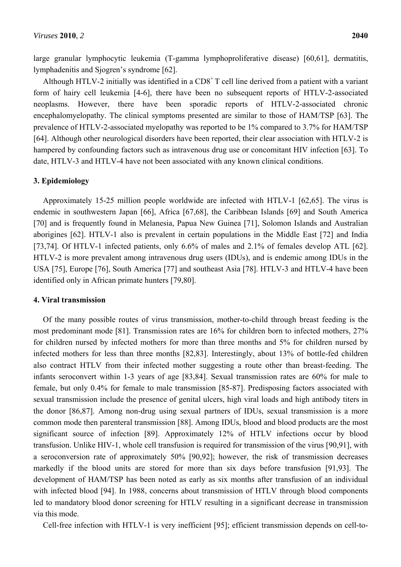large granular lymphocytic leukemia (T-gamma lymphoproliferative disease) [60,61], dermatitis, lymphadenitis and Sjogren's syndrome [62].

Although HTLV-2 initially was identified in a  $CD8<sup>+</sup>$  T cell line derived from a patient with a variant form of hairy cell leukemia [4-6], there have been no subsequent reports of HTLV-2-associated neoplasms. However, there have been sporadic reports of HTLV-2-associated chronic encephalomyelopathy. The clinical symptoms presented are similar to those of HAM/TSP [63]. The prevalence of HTLV-2-associated myelopathy was reported to be 1% compared to 3.7% for HAM/TSP [64]. Although other neurological disorders have been reported, their clear association with HTLV-2 is hampered by confounding factors such as intravenous drug use or concomitant HIV infection [63]. To date, HTLV-3 and HTLV-4 have not been associated with any known clinical conditions.

## **3. Epidemiology**

Approximately 15-25 million people worldwide are infected with HTLV-1 [62,65]. The virus is endemic in southwestern Japan [66], Africa [67,68], the Caribbean Islands [69] and South America [70] and is frequently found in Melanesia, Papua New Guinea [71], Solomon Islands and Australian aborigines [62]. HTLV-1 also is prevalent in certain populations in the Middle East [72] and India [73,74]. Of HTLV-1 infected patients, only 6.6% of males and 2.1% of females develop ATL [62]. HTLV-2 is more prevalent among intravenous drug users (IDUs), and is endemic among IDUs in the USA [75], Europe [76], South America [77] and southeast Asia [78]. HTLV-3 and HTLV-4 have been identified only in African primate hunters [79,80].

## **4. Viral transmission**

Of the many possible routes of virus transmission, mother-to-child through breast feeding is the most predominant mode [81]. Transmission rates are 16% for children born to infected mothers, 27% for children nursed by infected mothers for more than three months and 5% for children nursed by infected mothers for less than three months [82,83]. Interestingly, about 13% of bottle-fed children also contract HTLV from their infected mother suggesting a route other than breast-feeding. The infants seroconvert within 1-3 years of age [83,84]. Sexual transmission rates are 60% for male to female, but only 0.4% for female to male transmission [85-87]. Predisposing factors associated with sexual transmission include the presence of genital ulcers, high viral loads and high antibody titers in the donor [86,87]. Among non-drug using sexual partners of IDUs, sexual transmission is a more common mode then parenteral transmission [88]. Among IDUs, blood and blood products are the most significant source of infection [89]. Approximately 12% of HTLV infections occur by blood transfusion. Unlike HIV-1, whole cell transfusion is required for transmission of the virus [90,91], with a seroconversion rate of approximately 50% [90,92]; however, the risk of transmission decreases markedly if the blood units are stored for more than six days before transfusion [91,93]. The development of HAM/TSP has been noted as early as six months after transfusion of an individual with infected blood [94]. In 1988, concerns about transmission of HTLV through blood components led to mandatory blood donor screening for HTLV resulting in a significant decrease in transmission via this mode.

Cell-free infection with HTLV-1 is very inefficient [95]; efficient transmission depends on cell-to-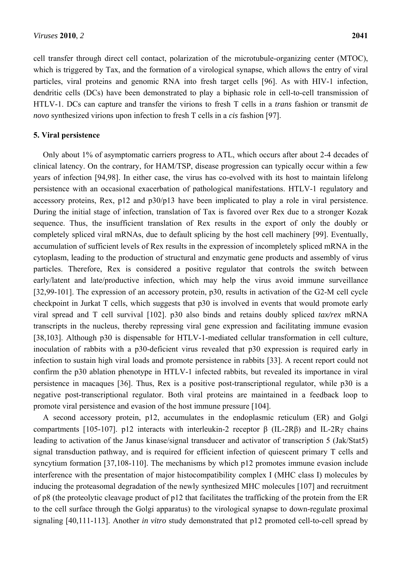cell transfer through direct cell contact, polarization of the microtubule-organizing center (MTOC), which is triggered by Tax, and the formation of a virological synapse, which allows the entry of viral particles, viral proteins and genomic RNA into fresh target cells [96]. As with HIV-1 infection, dendritic cells (DCs) have been demonstrated to play a biphasic role in cell-to-cell transmission of HTLV-1. DCs can capture and transfer the virions to fresh T cells in a *trans* fashion or transmit *de novo* synthesized virions upon infection to fresh T cells in a *cis* fashion [97].

#### **5. Viral persistence**

Only about 1% of asymptomatic carriers progress to ATL, which occurs after about 2-4 decades of clinical latency. On the contrary, for HAM/TSP, disease progression can typically occur within a few years of infection [94,98]. In either case, the virus has co-evolved with its host to maintain lifelong persistence with an occasional exacerbation of pathological manifestations. HTLV-1 regulatory and accessory proteins, Rex, p12 and p30/p13 have been implicated to play a role in viral persistence. During the initial stage of infection, translation of Tax is favored over Rex due to a stronger Kozak sequence. Thus, the insufficient translation of Rex results in the export of only the doubly or completely spliced viral mRNAs, due to default splicing by the host cell machinery [99]. Eventually, accumulation of sufficient levels of Rex results in the expression of incompletely spliced mRNA in the cytoplasm, leading to the production of structural and enzymatic gene products and assembly of virus particles. Therefore, Rex is considered a positive regulator that controls the switch between early/latent and late/productive infection, which may help the virus avoid immune surveillance [32,99-101]. The expression of an accessory protein, p30, results in activation of the G2-M cell cycle checkpoint in Jurkat T cells, which suggests that p30 is involved in events that would promote early viral spread and T cell survival [102]. p30 also binds and retains doubly spliced *tax/rex* mRNA transcripts in the nucleus, thereby repressing viral gene expression and facilitating immune evasion [38,103]. Although p30 is dispensable for HTLV-1-mediated cellular transformation in cell culture, inoculation of rabbits with a p30-deficient virus revealed that p30 expression is required early in infection to sustain high viral loads and promote persistence in rabbits [33]. A recent report could not confirm the p30 ablation phenotype in HTLV-1 infected rabbits, but revealed its importance in viral persistence in macaques [36]. Thus, Rex is a positive post-transcriptional regulator, while p30 is a negative post-transcriptional regulator. Both viral proteins are maintained in a feedback loop to promote viral persistence and evasion of the host immune pressure [104].

A second accessory protein, p12, accumulates in the endoplasmic reticulum (ER) and Golgi compartments [105-107]. p12 interacts with interleukin-2 receptor β (IL-2Rβ) and IL-2Rγ chains leading to activation of the Janus kinase/signal transducer and activator of transcription 5 (Jak/Stat5) signal transduction pathway, and is required for efficient infection of quiescent primary T cells and syncytium formation [37,108-110]. The mechanisms by which p12 promotes immune evasion include interference with the presentation of major histocompatibility complex I (MHC class I) molecules by inducing the proteasomal degradation of the newly synthesized MHC molecules [107] and recruitment of p8 (the proteolytic cleavage product of p12 that facilitates the trafficking of the protein from the ER to the cell surface through the Golgi apparatus) to the virological synapse to down-regulate proximal signaling [40,111-113]. Another *in vitro* study demonstrated that p12 promoted cell-to-cell spread by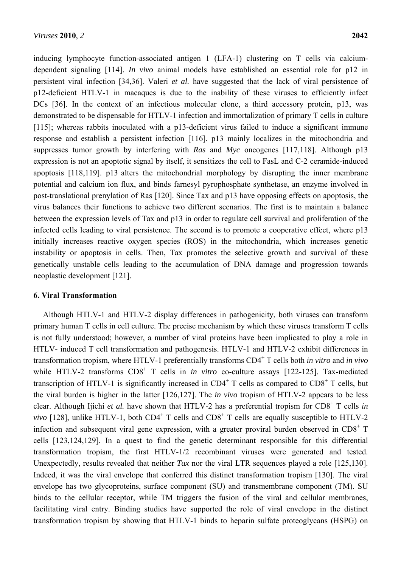inducing lymphocyte function-associated antigen 1 (LFA-1) clustering on T cells via calciumdependent signaling [114]. *In vivo* animal models have established an essential role for p12 in persistent viral infection [34,36]. Valeri *et al.* have suggested that the lack of viral persistence of p12-deficient HTLV-1 in macaques is due to the inability of these viruses to efficiently infect DCs [36]. In the context of an infectious molecular clone, a third accessory protein, p13, was demonstrated to be dispensable for HTLV-1 infection and immortalization of primary T cells in culture [115]; whereas rabbits inoculated with a p13-deficient virus failed to induce a significant immune response and establish a persistent infection [116]. p13 mainly localizes in the mitochondria and suppresses tumor growth by interfering with *Ras* and *Myc* oncogenes [117,118]. Although p13 expression is not an apoptotic signal by itself, it sensitizes the cell to FasL and C-2 ceramide-induced apoptosis [118,119]. p13 alters the mitochondrial morphology by disrupting the inner membrane potential and calcium ion flux, and binds farnesyl pyrophosphate synthetase, an enzyme involved in post-translational prenylation of Ras [120]. Since Tax and p13 have opposing effects on apoptosis, the virus balances their functions to achieve two different scenarios. The first is to maintain a balance between the expression levels of Tax and p13 in order to regulate cell survival and proliferation of the infected cells leading to viral persistence. The second is to promote a cooperative effect, where p13 initially increases reactive oxygen species (ROS) in the mitochondria, which increases genetic instability or apoptosis in cells. Then, Tax promotes the selective growth and survival of these genetically unstable cells leading to the accumulation of DNA damage and progression towards neoplastic development [121].

#### **6. Viral Transformation**

Although HTLV-1 and HTLV-2 display differences in pathogenicity, both viruses can transform primary human T cells in cell culture. The precise mechanism by which these viruses transform T cells is not fully understood; however, a number of viral proteins have been implicated to play a role in HTLV- induced T cell transformation and pathogenesis. HTLV-1 and HTLV-2 exhibit differences in transformation tropism, where HTLV-1 preferentially transforms CD4<sup>+</sup> T cells both *in vitro* and *in vivo* while HTLV-2 transforms  $CD8^+$  T cells in *in vitro* co-culture assays [122-125]. Tax-mediated transcription of HTLV-1 is significantly increased in  $CD4^+$  T cells as compared to  $CD8^+$  T cells, but the viral burden is higher in the latter [126,127]. The *in vivo* tropism of HTLV-2 appears to be less clear. Although Ijichi *et al.* have shown that HTLV-2 has a preferential tropism for CD8<sup>+</sup> T cells *in vivo* [128], unlike HTLV-1, both  $CD4^+$  T cells and  $CD8^+$  T cells are equally susceptible to HTLV-2 infection and subsequent viral gene expression, with a greater proviral burden observed in  $CD8<sup>+</sup> T$ cells [123,124,129]. In a quest to find the genetic determinant responsible for this differential transformation tropism, the first HTLV-1/2 recombinant viruses were generated and tested. Unexpectedly, results revealed that neither *Tax* nor the viral LTR sequences played a role [125,130]. Indeed, it was the viral envelope that conferred this distinct transformation tropism [130]. The viral envelope has two glycoproteins, surface component (SU) and transmembrane component (TM). SU binds to the cellular receptor, while TM triggers the fusion of the viral and cellular membranes, facilitating viral entry. Binding studies have supported the role of viral envelope in the distinct transformation tropism by showing that HTLV-1 binds to heparin sulfate proteoglycans (HSPG) on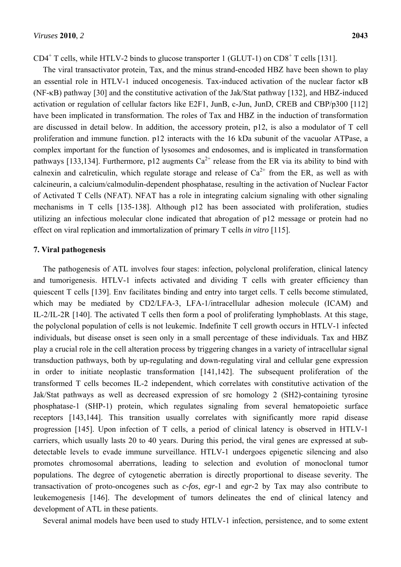$CD4^+$  T cells, while HTLV-2 binds to glucose transporter 1 (GLUT-1) on  $CD8^+$  T cells [131].

The viral transactivator protein, Tax, and the minus strand-encoded HBZ have been shown to play an essential role in HTLV-1 induced oncogenesis. Tax-induced activation of the nuclear factor  $\kappa$ B  $(NF-KB)$  pathway [30] and the constitutive activation of the Jak/Stat pathway [132], and HBZ-induced activation or regulation of cellular factors like E2F1, JunB, c-Jun, JunD, CREB and CBP/p300 [112] have been implicated in transformation. The roles of Tax and HBZ in the induction of transformation are discussed in detail below. In addition, the accessory protein, p12, is also a modulator of T cell proliferation and immune function. p12 interacts with the 16 kDa subunit of the vacuolar ATPase, a complex important for the function of lysosomes and endosomes, and is implicated in transformation pathways [133,134]. Furthermore, p12 augments  $Ca^{2+}$  release from the ER via its ability to bind with calnexin and calreticulin, which regulate storage and release of  $Ca^{2+}$  from the ER, as well as with calcineurin, a calcium/calmodulin-dependent phosphatase, resulting in the activation of Nuclear Factor of Activated T Cells (NFAT). NFAT has a role in integrating calcium signaling with other signaling mechanisms in T cells [135-138]. Although p12 has been associated with proliferation, studies utilizing an infectious molecular clone indicated that abrogation of p12 message or protein had no effect on viral replication and immortalization of primary T cells *in vitro* [115].

## **7. Viral pathogenesis**

The pathogenesis of ATL involves four stages: infection, polyclonal proliferation, clinical latency and tumorigenesis. HTLV-1 infects activated and dividing T cells with greater efficiency than quiescent T cells [139]. Env facilitates binding and entry into target cells. T cells become stimulated, which may be mediated by CD2/LFA-3, LFA-1/intracellular adhesion molecule (ICAM) and IL-2/IL-2R [140]. The activated T cells then form a pool of proliferating lymphoblasts. At this stage, the polyclonal population of cells is not leukemic. Indefinite T cell growth occurs in HTLV-1 infected individuals, but disease onset is seen only in a small percentage of these individuals. Tax and HBZ play a crucial role in the cell alteration process by triggering changes in a variety of intracellular signal transduction pathways, both by up-regulating and down-regulating viral and cellular gene expression in order to initiate neoplastic transformation [141,142]. The subsequent proliferation of the transformed T cells becomes IL-2 independent, which correlates with constitutive activation of the Jak/Stat pathways as well as decreased expression of src homology 2 (SH2)-containing tyrosine phosphatase-1 (SHP-1) protein, which regulates signaling from several hematopoietic surface receptors [143,144]. This transition usually correlates with significantly more rapid disease progression [145]. Upon infection of T cells, a period of clinical latency is observed in HTLV-1 carriers, which usually lasts 20 to 40 years. During this period, the viral genes are expressed at subdetectable levels to evade immune surveillance. HTLV-1 undergoes epigenetic silencing and also promotes chromosomal aberrations, leading to selection and evolution of monoclonal tumor populations. The degree of cytogenetic aberration is directly proportional to disease severity. The transactivation of proto-oncogenes such as *c-fos*, *egr*-1 and *egr*-2 by Tax may also contribute to leukemogenesis [146]. The development of tumors delineates the end of clinical latency and development of ATL in these patients.

Several animal models have been used to study HTLV-1 infection, persistence, and to some extent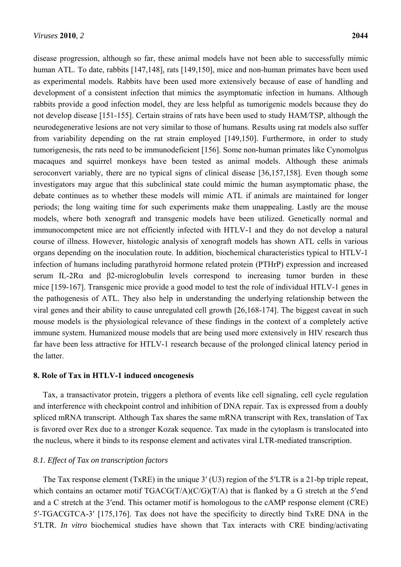disease progression, although so far, these animal models have not been able to successfully mimic human ATL. To date, rabbits [147,148], rats [149,150], mice and non-human primates have been used as experimental models. Rabbits have been used more extensively because of ease of handling and development of a consistent infection that mimics the asymptomatic infection in humans. Although rabbits provide a good infection model, they are less helpful as tumorigenic models because they do not develop disease [151-155]. Certain strains of rats have been used to study HAM/TSP, although the neurodegenerative lesions are not very similar to those of humans. Results using rat models also suffer from variability depending on the rat strain employed [149,150]. Furthermore, in order to study tumorigenesis, the rats need to be immunodeficient [156]. Some non-human primates like Cynomolgus macaques and squirrel monkeys have been tested as animal models. Although these animals seroconvert variably, there are no typical signs of clinical disease [36,157,158]. Even though some investigators may argue that this subclinical state could mimic the human asymptomatic phase, the debate continues as to whether these models will mimic ATL if animals are maintained for longer periods; the long waiting time for such experiments make them unappealing. Lastly are the mouse models, where both xenograft and transgenic models have been utilized. Genetically normal and immunocompetent mice are not efficiently infected with HTLV-1 and they do not develop a natural course of illness. However, histologic analysis of xenograft models has shown ATL cells in various organs depending on the inoculation route. In addition, biochemical characteristics typical to HTLV-1 infection of humans including parathyroid hormone related protein (PTHrP) expression and increased serum IL-2R $\alpha$  and β2-microglobulin levels correspond to increasing tumor burden in these mice [159-167]. Transgenic mice provide a good model to test the role of individual HTLV-1 genes in the pathogenesis of ATL. They also help in understanding the underlying relationship between the viral genes and their ability to cause unregulated cell growth [26,168-174]. The biggest caveat in such mouse models is the physiological relevance of these findings in the context of a completely active immune system. Humanized mouse models that are being used more extensively in HIV research thus far have been less attractive for HTLV-1 research because of the prolonged clinical latency period in the latter.

#### **8. Role of Tax in HTLV-1 induced oncogenesis**

Tax, a transactivator protein, triggers a plethora of events like cell signaling, cell cycle regulation and interference with checkpoint control and inhibition of DNA repair. Tax is expressed from a doubly spliced mRNA transcript. Although Tax shares the same mRNA transcript with Rex, translation of Tax is favored over Rex due to a stronger Kozak sequence. Tax made in the cytoplasm is translocated into the nucleus, where it binds to its response element and activates viral LTR-mediated transcription.

## *8.1. Effect of Tax on transcription factors*

The Tax response element (TxRE) in the unique 3ʹ (U3) region of the 5ʹLTR is a 21-bp triple repeat, which contains an octamer motif  $TGACG(T/A)(C/G)(T/A)$  that is flanked by a G stretch at the 5'end and a C stretch at the 3ʹend. This octamer motif is homologous to the cAMP response element (CRE) 5ʹ-TGACGTCA-3ʹ [175,176]. Tax does not have the specificity to directly bind TxRE DNA in the 5ʹLTR. *In vitro* biochemical studies have shown that Tax interacts with CRE binding/activating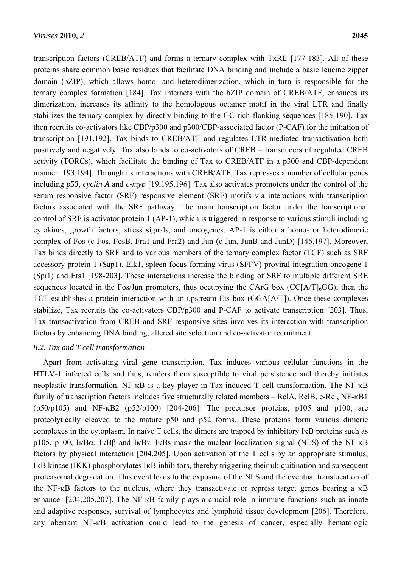transcription factors (CREB/ATF) and forms a ternary complex with TxRE [177-183]. All of these proteins share common basic residues that facilitate DNA binding and include a basic leucine zipper domain (bZIP), which allows homo- and heterodimerization, which in turn is responsible for the ternary complex formation [184]. Tax interacts with the bZIP domain of CREB/ATF, enhances its dimerization, increases its affinity to the homologous octamer motif in the viral LTR and finally stabilizes the ternary complex by directly binding to the GC-rich flanking sequences [185-190]. Tax then recruits co-activators like CBP/p300 and p300/CBP-associated factor (P-CAF) for the initiation of transcription [191,192]. Tax binds to CREB/ATF and regulates LTR-mediated transactivation both positively and negatively. Tax also binds to co-activators of CREB – transducers of regulated CREB activity (TORCs), which facilitate the binding of Tax to CREB/ATF in a p300 and CBP-dependent manner [193,194]. Through its interactions with CREB/ATF, Tax represses a number of cellular genes including *p53*, *cyclin A* and *c-myb* [19,195,196]. Tax also activates promoters under the control of the serum responsive factor (SRF) responsive element (SRE) motifs via interactions with transcription factors associated with the SRF pathway. The main transcription factor under the transcriptional control of SRF is activator protein 1 (AP-1), which is triggered in response to various stimuli including cytokines, growth factors, stress signals, and oncogenes. AP-1 is either a homo- or heterodimeric complex of Fos (c-Fos, FosB, Fra1 and Fra2) and Jun (c-Jun, JunB and JunD) [146,197]. Moreover, Tax binds directly to SRF and to various members of the ternary complex factor (TCF) such as SRF accessory protein 1 (Sap1), Elk1, spleen focus forming virus (SFFV) proviral integration oncogene 1 (Spi1) and Ets1 [198-203]. These interactions increase the binding of SRF to multiple different SRE sequences located in the Fos/Jun promoters, thus occupying the CArG box (CC[A/T]<sub>6</sub>GG); then the TCF establishes a protein interaction with an upstream Ets box (GGA[A/T]). Once these complexes stabilize, Tax recruits the co-activators CBP/p300 and P-CAF to activate transcription [203]. Thus, Tax transactivation from CREB and SRF responsive sites involves its interaction with transcription factors by enhancing DNA binding, altered site selection and co-activator recruitment.

## *8.2. Tax and T cell transformation*

Apart from activating viral gene transcription, Tax induces various cellular functions in the HTLV-1 infected cells and thus, renders them susceptible to viral persistence and thereby initiates neoplastic transformation. NF- $\kappa$ B is a key player in Tax-induced T cell transformation. The NF- $\kappa$ B family of transcription factors includes five structurally related members – RelA, RelB, c-Rel, NF- $\kappa$ B1  $(p50/p105)$  and NF- $\kappa$ B2 ( $p52/p100$ ) [204-206]. The precursor proteins, p105 and p100, are proteolytically cleaved to the mature p50 and p52 forms. These proteins form various dimeric complexes in the cytoplasm. In naïve  $T$  cells, the dimers are trapped by inhibitory  $I \kappa B$  proteins such as p105, p100, I $\kappa$ B $\alpha$ , I $\kappa$ B $\beta$  and I $\kappa$ B $\gamma$ . I $\kappa$ Bs mask the nuclear localization signal (NLS) of the NF- $\kappa$ B factors by physical interaction [204,205]. Upon activation of the T cells by an appropriate stimulus, IKB kinase (IKK) phosphorylates IKB inhibitors, thereby triggering their ubiquitination and subsequent proteasomal degradation. This event leads to the exposure of the NLS and the eventual translocation of the NF- $\kappa$ B factors to the nucleus, where they transactivate or repress target genes bearing a  $\kappa$ B enhancer  $[204,205,207]$ . The NF- $\kappa$ B family plays a crucial role in immune functions such as innate and adaptive responses, survival of lymphocytes and lymphoid tissue development [206]. Therefore, any aberrant  $NF-\kappa B$  activation could lead to the genesis of cancer, especially hematologic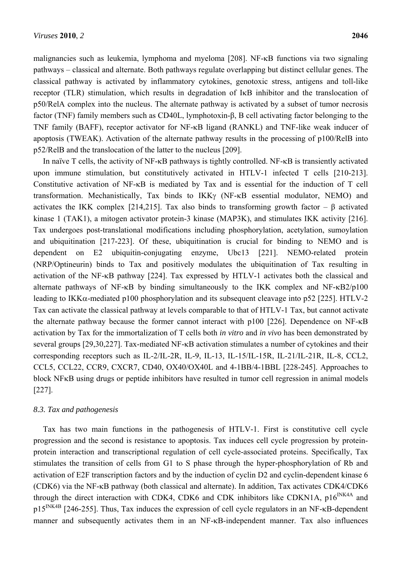malignancies such as leukemia, lymphoma and myeloma [208]. NF-KB functions via two signaling pathways – classical and alternate. Both pathways regulate overlapping but distinct cellular genes. The classical pathway is activated by inflammatory cytokines, genotoxic stress, antigens and toll-like receptor (TLR) stimulation, which results in degradation of IKB inhibitor and the translocation of p50/RelA complex into the nucleus. The alternate pathway is activated by a subset of tumor necrosis factor (TNF) family members such as CD40L, lymphotoxin-β, B cell activating factor belonging to the TNF family (BAFF), receptor activator for NF- $\kappa$ B ligand (RANKL) and TNF-like weak inducer of apoptosis (TWEAK). Activation of the alternate pathway results in the processing of p100/RelB into p52/RelB and the translocation of the latter to the nucleus [209].

In naïve T cells, the activity of NF- $\kappa$ B pathways is tightly controlled. NF- $\kappa$ B is transiently activated upon immune stimulation, but constitutively activated in HTLV-1 infected T cells [210-213]. Constitutive activation of  $NF-\kappa B$  is mediated by Tax and is essential for the induction of T cell transformation. Mechanistically, Tax binds to  $IKK\gamma$  (NF- $\kappa$ B essential modulator, NEMO) and activates the IKK complex [214,215]. Tax also binds to transforming growth factor –  $\beta$  activated kinase 1 (TAK1), a mitogen activator protein-3 kinase (MAP3K), and stimulates IKK activity [216]. Tax undergoes post-translational modifications including phosphorylation, acetylation, sumoylation and ubiquitination [217-223]. Of these, ubiquitination is crucial for binding to NEMO and is dependent on E2 ubiquitin-conjugating enzyme, Ubc13 [221]. NEMO-related protein (NRP/Optineurin) binds to Tax and positively modulates the ubiquitination of Tax resulting in activation of the NF- $\kappa$ B pathway [224]. Tax expressed by HTLV-1 activates both the classical and alternate pathways of NF- $\kappa$ B by binding simultaneously to the IKK complex and NF- $\kappa$ B2/p100 leading to IKK $\alpha$ -mediated p100 phosphorylation and its subsequent cleavage into p52 [225]. HTLV-2 Tax can activate the classical pathway at levels comparable to that of HTLV-1 Tax, but cannot activate the alternate pathway because the former cannot interact with  $p100$  [226]. Dependence on NF- $\kappa$ B activation by Tax for the immortalization of T cells both *in vitro* and *in vivo* has been demonstrated by several groups  $[29,30,227]$ . Tax-mediated NF- $\kappa$ B activation stimulates a number of cytokines and their corresponding receptors such as IL-2/IL-2R, IL-9, IL-13, IL-15/IL-15R, IL-21/IL-21R, IL-8, CCL2, CCL5, CCL22, CCR9, CXCR7, CD40, OX40/OX40L and 4-1BB/4-1BBL [228-245]. Approaches to block NF<sub>K</sub>B using drugs or peptide inhibitors have resulted in tumor cell regression in animal models [227].

## *8.3. Tax and pathogenesis*

Tax has two main functions in the pathogenesis of HTLV-1. First is constitutive cell cycle progression and the second is resistance to apoptosis. Tax induces cell cycle progression by proteinprotein interaction and transcriptional regulation of cell cycle-associated proteins. Specifically, Tax stimulates the transition of cells from G1 to S phase through the hyper-phosphorylation of Rb and activation of E2F transcription factors and by the induction of cyclin D2 and cyclin-dependent kinase 6 (CDK6) via the NF-KB pathway (both classical and alternate). In addition, Tax activates CDK4/CDK6 through the direct interaction with CDK4, CDK6 and CDK inhibitors like CDKN1A,  $p16^{INK4A}$  and p15<sup>INK4B</sup> [246-255]. Thus, Tax induces the expression of cell cycle regulators in an NF- $\kappa$ B-dependent manner and subsequently activates them in an NF- $\kappa$ B-independent manner. Tax also influences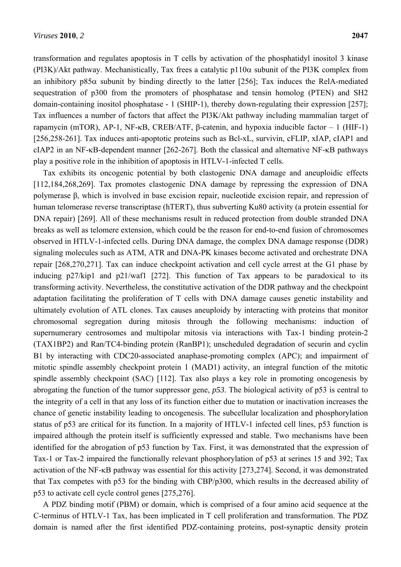transformation and regulates apoptosis in T cells by activation of the phosphatidyl inositol 3 kinase (PI3K)/Akt pathway. Mechanistically, Tax frees a catalytic  $p110\alpha$  subunit of the PI3K complex from an inhibitory p85 $\alpha$  subunit by binding directly to the latter [256]; Tax induces the RelA-mediated sequestration of p300 from the promoters of phosphatase and tensin homolog (PTEN) and SH2 domain-containing inositol phosphatase - 1 (SHIP-1), thereby down-regulating their expression [257]; Tax influences a number of factors that affect the PI3K/Akt pathway including mammalian target of rapamycin (mTOR), AP-1, NF-κB, CREB/ATF, β-catenin, and hypoxia inducible factor  $-1$  (HIF-1) [256,258-261]. Tax induces anti-apoptotic proteins such as Bcl-xL, survivin, cFLIP, xIAP, cIAP1 and cIAP2 in an NF- $\kappa$ B-dependent manner [262-267]. Both the classical and alternative NF- $\kappa$ B pathways play a positive role in the inhibition of apoptosis in HTLV-1-infected T cells.

Tax exhibits its oncogenic potential by both clastogenic DNA damage and aneuploidic effects [112,184,268,269]. Tax promotes clastogenic DNA damage by repressing the expression of DNA polymerase β, which is involved in base excision repair, nucleotide excision repair, and repression of human telomerase reverse transcriptase (hTERT), thus subverting Ku80 activity (a protein essential for DNA repair) [269]. All of these mechanisms result in reduced protection from double stranded DNA breaks as well as telomere extension, which could be the reason for end-to-end fusion of chromosomes observed in HTLV-1-infected cells. During DNA damage, the complex DNA damage response (DDR) signaling molecules such as ATM, ATR and DNA-PK kinases become activated and orchestrate DNA repair [268,270,271]. Tax can induce checkpoint activation and cell cycle arrest at the G1 phase by inducing p27/kip1 and p21/waf1 [272]. This function of Tax appears to be paradoxical to its transforming activity. Nevertheless, the constitutive activation of the DDR pathway and the checkpoint adaptation facilitating the proliferation of T cells with DNA damage causes genetic instability and ultimately evolution of ATL clones. Tax causes aneuploidy by interacting with proteins that monitor chromosomal segregation during mitosis through the following mechanisms: induction of supernumerary centrosomes and multipolar mitosis via interactions with Tax-1 binding protein-2 (TAX1BP2) and Ran/TC4-binding protein (RanBP1); unscheduled degradation of securin and cyclin B1 by interacting with CDC20-associated anaphase-promoting complex (APC); and impairment of mitotic spindle assembly checkpoint protein 1 (MAD1) activity, an integral function of the mitotic spindle assembly checkpoint (SAC) [112]. Tax also plays a key role in promoting oncogenesis by abrogating the function of the tumor suppressor gene, *p53*. The biological activity of p53 is central to the integrity of a cell in that any loss of its function either due to mutation or inactivation increases the chance of genetic instability leading to oncogenesis. The subcellular localization and phosphorylation status of p53 are critical for its function. In a majority of HTLV-1 infected cell lines, p53 function is impaired although the protein itself is sufficiently expressed and stable. Two mechanisms have been identified for the abrogation of p53 function by Tax. First, it was demonstrated that the expression of Tax-1 or Tax-2 impaired the functionally relevant phosphorylation of p53 at serines 15 and 392; Tax activation of the NF-KB pathway was essential for this activity [273,274]. Second, it was demonstrated that Tax competes with p53 for the binding with CBP/p300, which results in the decreased ability of p53 to activate cell cycle control genes [275,276].

A PDZ binding motif (PBM) or domain, which is comprised of a four amino acid sequence at the C-terminus of HTLV-1 Tax, has been implicated in T cell proliferation and transformation. The PDZ domain is named after the first identified PDZ-containing proteins, post-synaptic density protein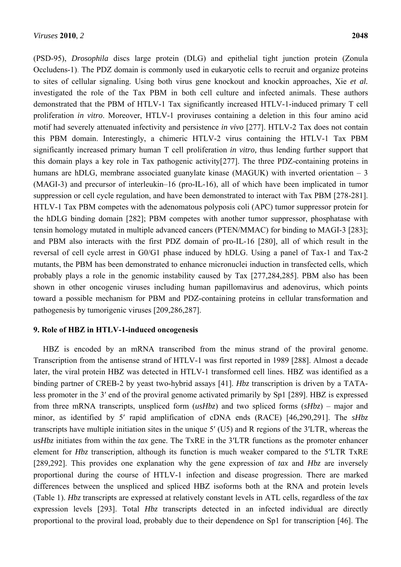(PSD-95), *Drosophila* discs large protein (DLG) and epithelial tight junction protein (Zonula Occludens-1). The PDZ domain is commonly used in eukaryotic cells to recruit and organize proteins to sites of cellular signaling. Using both virus gene knockout and knockin approaches, Xie *et al.* investigated the role of the Tax PBM in both cell culture and infected animals. These authors demonstrated that the PBM of HTLV-1 Tax significantly increased HTLV-1-induced primary T cell proliferation *in vitro*. Moreover, HTLV-1 proviruses containing a deletion in this four amino acid motif had severely attenuated infectivity and persistence *in vivo* [277]. HTLV-2 Tax does not contain this PBM domain. Interestingly, a chimeric HTLV-2 virus containing the HTLV-1 Tax PBM significantly increased primary human T cell proliferation *in vitro,* thus lending further support that this domain plays a key role in Tax pathogenic activity[277]. The three PDZ-containing proteins in humans are hDLG, membrane associated guanylate kinase (MAGUK) with inverted orientation – 3 (MAGI-3) and precursor of interleukin–16 (pro-IL-16), all of which have been implicated in tumor suppression or cell cycle regulation, and have been demonstrated to interact with Tax PBM [278-281]. HTLV-1 Tax PBM competes with the adenomatous polyposis coli (APC) tumor suppressor protein for the hDLG binding domain [282]; PBM competes with another tumor suppressor, phosphatase with tensin homology mutated in multiple advanced cancers (PTEN/MMAC) for binding to MAGI-3 [283]; and PBM also interacts with the first PDZ domain of pro-IL-16 [280], all of which result in the reversal of cell cycle arrest in G0/G1 phase induced by hDLG. Using a panel of Tax-1 and Tax-2 mutants, the PBM has been demonstrated to enhance micronuclei induction in transfected cells, which probably plays a role in the genomic instability caused by Tax [277,284,285]. PBM also has been shown in other oncogenic viruses including human papillomavirus and adenovirus, which points toward a possible mechanism for PBM and PDZ-containing proteins in cellular transformation and pathogenesis by tumorigenic viruses [209,286,287].

## **9. Role of HBZ in HTLV-1-induced oncogenesis**

HBZ is encoded by an mRNA transcribed from the minus strand of the proviral genome. Transcription from the antisense strand of HTLV-1 was first reported in 1989 [288]. Almost a decade later, the viral protein HBZ was detected in HTLV-1 transformed cell lines. HBZ was identified as a binding partner of CREB-2 by yeast two-hybrid assays [41]. *Hbz* transcription is driven by a TATAless promoter in the 3ʹ end of the proviral genome activated primarily by Sp1 [289]. HBZ is expressed from three mRNA transcripts, unspliced form (*usHbz*) and two spliced forms (*sHbz*) – major and minor, as identified by 5ʹ rapid amplification of cDNA ends (RACE) [46,290,291]. The *sHbz* transcripts have multiple initiation sites in the unique 5ʹ (U5) and R regions of the 3ʹLTR, whereas the *usHbz* initiates from within the *tax* gene. The TxRE in the 3ʹLTR functions as the promoter enhancer element for *Hbz* transcription, although its function is much weaker compared to the 5ʹLTR TxRE [289,292]. This provides one explanation why the gene expression of *tax* and *Hbz* are inversely proportional during the course of HTLV-1 infection and disease progression. There are marked differences between the unspliced and spliced HBZ isoforms both at the RNA and protein levels (Table 1). *Hbz* transcripts are expressed at relatively constant levels in ATL cells, regardless of the *tax* expression levels [293]. Total *Hbz* transcripts detected in an infected individual are directly proportional to the proviral load, probably due to their dependence on Sp1 for transcription [46]. The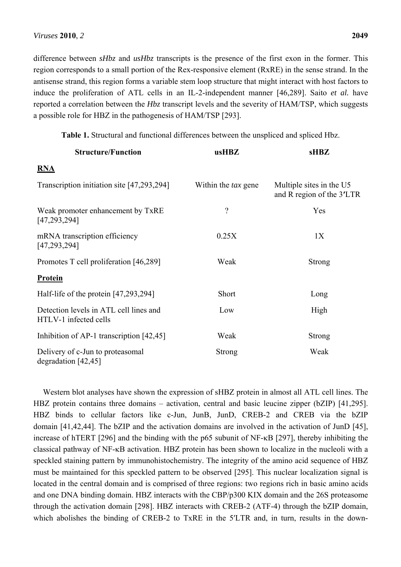difference between *sHbz* and *usHbz* transcripts is the presence of the first exon in the former. This region corresponds to a small portion of the Rex-responsive element (RxRE) in the sense strand. In the antisense strand, this region forms a variable stem loop structure that might interact with host factors to induce the proliferation of ATL cells in an IL-2-independent manner [46,289]. Saito *et al.* have reported a correlation between the *Hbz* transcript levels and the severity of HAM/TSP, which suggests a possible role for HBZ in the pathogenesis of HAM/TSP [293].

**Table 1.** Structural and functional differences between the unspliced and spliced Hbz.

| <b>Structure/Function</b>                                       | usHBZ                      | <b>sHBZ</b>                                           |
|-----------------------------------------------------------------|----------------------------|-------------------------------------------------------|
| <b>RNA</b>                                                      |                            |                                                       |
| Transcription initiation site [47,293,294]                      | Within the <i>tax</i> gene | Multiple sites in the U5<br>and R region of the 3'LTR |
| Weak promoter enhancement by TxRE<br>[47, 293, 294]             | $\overline{\mathcal{C}}$   | Yes                                                   |
| mRNA transcription efficiency<br>[47, 293, 294]                 | 0.25X                      | 1X                                                    |
| Promotes T cell proliferation [46,289]                          | Weak                       | <b>Strong</b>                                         |
| <b>Protein</b>                                                  |                            |                                                       |
| Half-life of the protein [47,293,294]                           | Short                      | Long                                                  |
| Detection levels in ATL cell lines and<br>HTLV-1 infected cells | Low                        | High                                                  |
| Inhibition of AP-1 transcription [42,45]                        | Weak                       | <b>Strong</b>                                         |
| Delivery of c-Jun to proteasomal<br>degradation [42,45]         | <b>Strong</b>              | Weak                                                  |

Western blot analyses have shown the expression of sHBZ protein in almost all ATL cell lines. The HBZ protein contains three domains – activation, central and basic leucine zipper (bZIP) [41,295]. HBZ binds to cellular factors like c-Jun, JunB, JunD, CREB-2 and CREB via the bZIP domain [41,42,44]. The bZIP and the activation domains are involved in the activation of JunD [45], increase of hTERT [296] and the binding with the  $p65$  subunit of NF- $\kappa$ B [297], thereby inhibiting the classical pathway of NF- $\kappa$ B activation. HBZ protein has been shown to localize in the nucleoli with a speckled staining pattern by immunohistochemistry. The integrity of the amino acid sequence of HBZ must be maintained for this speckled pattern to be observed [295]. This nuclear localization signal is located in the central domain and is comprised of three regions: two regions rich in basic amino acids and one DNA binding domain. HBZ interacts with the CBP/p300 KIX domain and the 26S proteasome through the activation domain [298]. HBZ interacts with CREB-2 (ATF-4) through the bZIP domain, which abolishes the binding of CREB-2 to TxRE in the 5<sup>'</sup>LTR and, in turn, results in the down-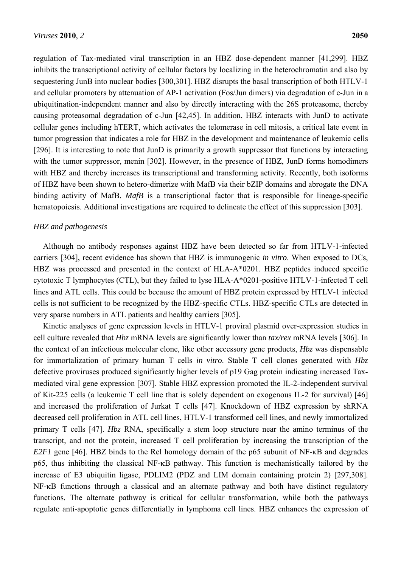regulation of Tax-mediated viral transcription in an HBZ dose-dependent manner [41,299]. HBZ inhibits the transcriptional activity of cellular factors by localizing in the heterochromatin and also by sequestering JunB into nuclear bodies [300,301]. HBZ disrupts the basal transcription of both HTLV-1 and cellular promoters by attenuation of AP-1 activation (Fos/Jun dimers) via degradation of c-Jun in a ubiquitination-independent manner and also by directly interacting with the 26S proteasome, thereby causing proteasomal degradation of c-Jun [42,45]. In addition, HBZ interacts with JunD to activate cellular genes including hTERT, which activates the telomerase in cell mitosis, a critical late event in tumor progression that indicates a role for HBZ in the development and maintenance of leukemic cells [296]. It is interesting to note that JunD is primarily a growth suppressor that functions by interacting with the tumor suppressor, menin [302]. However, in the presence of HBZ, JunD forms homodimers with HBZ and thereby increases its transcriptional and transforming activity. Recently, both isoforms of HBZ have been shown to hetero-dimerize with MafB via their bZIP domains and abrogate the DNA binding activity of MafB. *MafB* is a transcriptional factor that is responsible for lineage-specific hematopoiesis. Additional investigations are required to delineate the effect of this suppression [303].

## *HBZ and pathogenesis*

Although no antibody responses against HBZ have been detected so far from HTLV-1-infected carriers [304], recent evidence has shown that HBZ is immunogenic *in vitro*. When exposed to DCs, HBZ was processed and presented in the context of HLA-A\*0201. HBZ peptides induced specific cytotoxic T lymphocytes (CTL), but they failed to lyse HLA-A\*0201-positive HTLV-1-infected T cell lines and ATL cells. This could be because the amount of HBZ protein expressed by HTLV-1 infected cells is not sufficient to be recognized by the HBZ-specific CTLs. HBZ-specific CTLs are detected in very sparse numbers in ATL patients and healthy carriers [305].

Kinetic analyses of gene expression levels in HTLV-1 proviral plasmid over-expression studies in cell culture revealed that *Hbz* mRNA levels are significantly lower than *tax/rex* mRNA levels [306]. In the context of an infectious molecular clone, like other accessory gene products, *Hbz* was dispensable for immortalization of primary human T cells *in vitro*. Stable T cell clones generated with *Hbz* defective proviruses produced significantly higher levels of p19 Gag protein indicating increased Taxmediated viral gene expression [307]. Stable HBZ expression promoted the IL-2-independent survival of Kit-225 cells (a leukemic T cell line that is solely dependent on exogenous IL-2 for survival) [46] and increased the proliferation of Jurkat T cells [47]. Knockdown of HBZ expression by shRNA decreased cell proliferation in ATL cell lines, HTLV-1 transformed cell lines, and newly immortalized primary T cells [47]. *Hbz* RNA, specifically a stem loop structure near the amino terminus of the transcript, and not the protein, increased T cell proliferation by increasing the transcription of the *E2F1* gene [46]. HBZ binds to the Rel homology domain of the p65 subunit of NF- $\kappa$ B and degrades  $p65$ , thus inhibiting the classical NF- $\kappa$ B pathway. This function is mechanistically tailored by the increase of E3 ubiquitin ligase, PDLIM2 (PDZ and LIM domain containing protein 2) [297,308].  $NF-\kappa B$  functions through a classical and an alternate pathway and both have distinct regulatory functions. The alternate pathway is critical for cellular transformation, while both the pathways regulate anti-apoptotic genes differentially in lymphoma cell lines. HBZ enhances the expression of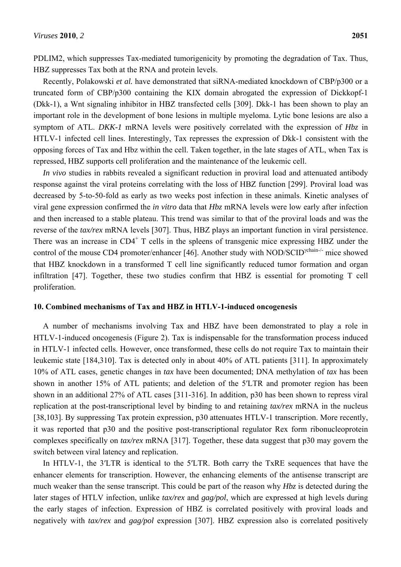PDLIM2, which suppresses Tax-mediated tumorigenicity by promoting the degradation of Tax. Thus, HBZ suppresses Tax both at the RNA and protein levels.

Recently, Polakowski *et al.* have demonstrated that siRNA-mediated knockdown of CBP/p300 or a truncated form of CBP/p300 containing the KIX domain abrogated the expression of Dickkopf-1 (Dkk-1), a Wnt signaling inhibitor in HBZ transfected cells [309]. Dkk-1 has been shown to play an important role in the development of bone lesions in multiple myeloma. Lytic bone lesions are also a symptom of ATL. *DKK-1* mRNA levels were positively correlated with the expression of *Hbz* in HTLV-1 infected cell lines. Interestingly, Tax represses the expression of Dkk-1 consistent with the opposing forces of Tax and Hbz within the cell. Taken together, in the late stages of ATL, when Tax is repressed, HBZ supports cell proliferation and the maintenance of the leukemic cell.

*In vivo* studies in rabbits revealed a significant reduction in proviral load and attenuated antibody response against the viral proteins correlating with the loss of HBZ function [299]. Proviral load was decreased by 5-to-50-fold as early as two weeks post infection in these animals. Kinetic analyses of viral gene expression confirmed the *in vitro* data that *Hbz* mRNA levels were low early after infection and then increased to a stable plateau. This trend was similar to that of the proviral loads and was the reverse of the *tax/rex* mRNA levels [307]. Thus, HBZ plays an important function in viral persistence. There was an increase in  $CD4^+$  T cells in the spleens of transgenic mice expressing HBZ under the control of the mouse CD4 promoter/enhancer [46]. Another study with NOD/SCID<sup>ychain-/-</sup> mice showed that HBZ knockdown in a transformed T cell line significantly reduced tumor formation and organ infiltration [47]. Together, these two studies confirm that HBZ is essential for promoting T cell proliferation.

#### **10. Combined mechanisms of Tax and HBZ in HTLV-1-induced oncogenesis**

A number of mechanisms involving Tax and HBZ have been demonstrated to play a role in HTLV-1-induced oncogenesis (Figure 2). Tax is indispensable for the transformation process induced in HTLV-1 infected cells. However, once transformed, these cells do not require Tax to maintain their leukemic state [184,310]. Tax is detected only in about 40% of ATL patients [311]. In approximately 10% of ATL cases, genetic changes in *tax* have been documented; DNA methylation of *tax* has been shown in another 15% of ATL patients; and deletion of the 5ʹLTR and promoter region has been shown in an additional 27% of ATL cases [311-316]. In addition, p30 has been shown to repress viral replication at the post-transcriptional level by binding to and retaining *tax/rex* mRNA in the nucleus [38,103]. By suppressing Tax protein expression, p30 attenuates HTLV-1 transcription. More recently, it was reported that p30 and the positive post-transcriptional regulator Rex form ribonucleoprotein complexes specifically on *tax/rex* mRNA [317]. Together, these data suggest that p30 may govern the switch between viral latency and replication.

In HTLV-1, the 3<sup>'</sup>LTR is identical to the 5<sup>'</sup>LTR. Both carry the TxRE sequences that have the enhancer elements for transcription. However, the enhancing elements of the antisense transcript are much weaker than the sense transcript. This could be part of the reason why *Hbz* is detected during the later stages of HTLV infection, unlike *tax/rex* and *gag/pol*, which are expressed at high levels during the early stages of infection. Expression of HBZ is correlated positively with proviral loads and negatively with *tax/rex* and *gag/pol* expression [307]. HBZ expression also is correlated positively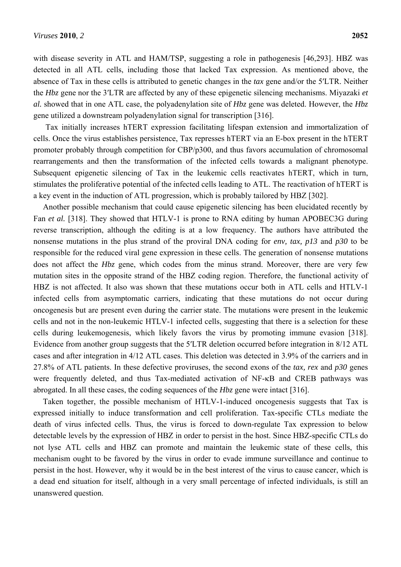with disease severity in ATL and HAM/TSP, suggesting a role in pathogenesis [46,293]. HBZ was detected in all ATL cells, including those that lacked Tax expression. As mentioned above, the absence of Tax in these cells is attributed to genetic changes in the *tax* gene and/or the 5ʹLTR. Neither the *Hbz* gene nor the 3ʹLTR are affected by any of these epigenetic silencing mechanisms. Miyazaki *et al.* showed that in one ATL case, the polyadenylation site of *Hbz* gene was deleted. However, the *Hbz* gene utilized a downstream polyadenylation signal for transcription [316].

Tax initially increases hTERT expression facilitating lifespan extension and immortalization of cells. Once the virus establishes persistence, Tax represses hTERT via an E-box present in the hTERT promoter probably through competition for CBP/p300, and thus favors accumulation of chromosomal rearrangements and then the transformation of the infected cells towards a malignant phenotype. Subsequent epigenetic silencing of Tax in the leukemic cells reactivates hTERT, which in turn, stimulates the proliferative potential of the infected cells leading to ATL. The reactivation of hTERT is a key event in the induction of ATL progression, which is probably tailored by HBZ [302].

Another possible mechanism that could cause epigenetic silencing has been elucidated recently by Fan *et al.* [318]. They showed that HTLV-1 is prone to RNA editing by human APOBEC3G during reverse transcription, although the editing is at a low frequency. The authors have attributed the nonsense mutations in the plus strand of the proviral DNA coding for *env, tax, p13* and *p30* to be responsible for the reduced viral gene expression in these cells. The generation of nonsense mutations does not affect the *Hbz* gene, which codes from the minus strand. Moreover, there are very few mutation sites in the opposite strand of the HBZ coding region. Therefore, the functional activity of HBZ is not affected. It also was shown that these mutations occur both in ATL cells and HTLV-1 infected cells from asymptomatic carriers, indicating that these mutations do not occur during oncogenesis but are present even during the carrier state. The mutations were present in the leukemic cells and not in the non-leukemic HTLV-1 infected cells, suggesting that there is a selection for these cells during leukemogenesis, which likely favors the virus by promoting immune evasion [318]. Evidence from another group suggests that the 5ʹLTR deletion occurred before integration in 8/12 ATL cases and after integration in 4/12 ATL cases. This deletion was detected in 3.9% of the carriers and in 27.8% of ATL patients. In these defective proviruses, the second exons of the *tax, rex* and *p30* genes were frequently deleted, and thus Tax-mediated activation of NF- $\kappa$ B and CREB pathways was abrogated. In all these cases, the coding sequences of the *Hbz* gene were intact [316].

Taken together, the possible mechanism of HTLV-1-induced oncogenesis suggests that Tax is expressed initially to induce transformation and cell proliferation. Tax-specific CTLs mediate the death of virus infected cells. Thus, the virus is forced to down-regulate Tax expression to below detectable levels by the expression of HBZ in order to persist in the host. Since HBZ-specific CTLs do not lyse ATL cells and HBZ can promote and maintain the leukemic state of these cells, this mechanism ought to be favored by the virus in order to evade immune surveillance and continue to persist in the host. However, why it would be in the best interest of the virus to cause cancer, which is a dead end situation for itself, although in a very small percentage of infected individuals, is still an unanswered question.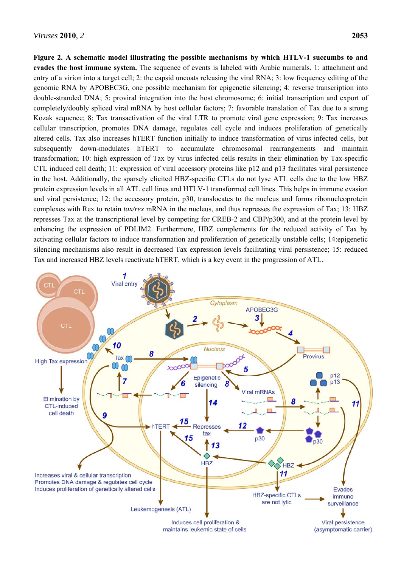**Figure 2. A schematic model illustrating the possible mechanisms by which HTLV-1 succumbs to and evades the host immune system.** The sequence of events is labeled with Arabic numerals. 1: attachment and entry of a virion into a target cell; 2: the capsid uncoats releasing the viral RNA; 3: low frequency editing of the genomic RNA by APOBEC3G, one possible mechanism for epigenetic silencing; 4: reverse transcription into double-stranded DNA; 5: proviral integration into the host chromosome; 6: initial transcription and export of completely/doubly spliced viral mRNA by host cellular factors; 7: favorable translation of Tax due to a strong Kozak sequence; 8: Tax transactivation of the viral LTR to promote viral gene expression; 9: Tax increases cellular transcription, promotes DNA damage, regulates cell cycle and induces proliferation of genetically altered cells. Tax also increases hTERT function initially to induce transformation of virus infected cells, but subsequently down-modulates hTERT to accumulate chromosomal rearrangements and maintain transformation; 10: high expression of Tax by virus infected cells results in their elimination by Tax-specific CTL induced cell death; 11: expression of viral accessory proteins like p12 and p13 facilitates viral persistence in the host. Additionally, the sparsely elicited HBZ-specific CTLs do not lyse ATL cells due to the low HBZ protein expression levels in all ATL cell lines and HTLV-1 transformed cell lines. This helps in immune evasion and viral persistence; 12: the accessory protein, p30, translocates to the nucleus and forms ribonucleoprotein complexes with Rex to retain *tax/rex* mRNA in the nucleus, and thus represses the expression of Tax; 13: HBZ represses Tax at the transcriptional level by competing for CREB-2 and CBP/p300, and at the protein level by enhancing the expression of PDLIM2. Furthermore, HBZ complements for the reduced activity of Tax by activating cellular factors to induce transformation and proliferation of genetically unstable cells; 14:epigenetic silencing mechanisms also result in decreased Tax expression levels facilitating viral persistence; 15: reduced Tax and increased HBZ levels reactivate hTERT, which is a key event in the progression of ATL.

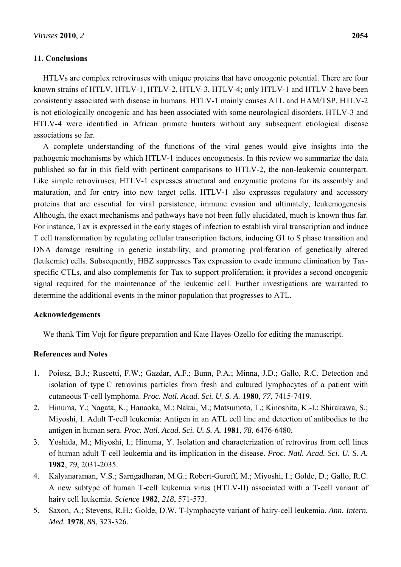## **11. Conclusions**

HTLVs are complex retroviruses with unique proteins that have oncogenic potential. There are four known strains of HTLV, HTLV-1, HTLV-2, HTLV-3, HTLV-4; only HTLV-1 and HTLV-2 have been consistently associated with disease in humans. HTLV-1 mainly causes ATL and HAM/TSP. HTLV-2 is not etiologically oncogenic and has been associated with some neurological disorders. HTLV-3 and HTLV-4 were identified in African primate hunters without any subsequent etiological disease associations so far.

A complete understanding of the functions of the viral genes would give insights into the pathogenic mechanisms by which HTLV-1 induces oncogenesis. In this review we summarize the data published so far in this field with pertinent comparisons to HTLV-2, the non-leukemic counterpart. Like simple retroviruses, HTLV-1 expresses structural and enzymatic proteins for its assembly and maturation, and for entry into new target cells. HTLV-1 also expresses regulatory and accessory proteins that are essential for viral persistence, immune evasion and ultimately, leukemogenesis. Although, the exact mechanisms and pathways have not been fully elucidated, much is known thus far. For instance, Tax is expressed in the early stages of infection to establish viral transcription and induce T cell transformation by regulating cellular transcription factors, inducing G1 to S phase transition and DNA damage resulting in genetic instability, and promoting proliferation of genetically altered (leukemic) cells. Subsequently, HBZ suppresses Tax expression to evade immune elimination by Taxspecific CTLs, and also complements for Tax to support proliferation; it provides a second oncogenic signal required for the maintenance of the leukemic cell. Further investigations are warranted to determine the additional events in the minor population that progresses to ATL.

## **Acknowledgements**

We thank Tim Vojt for figure preparation and Kate Hayes-Ozello for editing the manuscript.

## **References and Notes**

- 1. Poiesz, B.J.; Ruscetti, F.W.; Gazdar, A.F.; Bunn, P.A.; Minna, J.D.; Gallo, R.C. Detection and isolation of type C retrovirus particles from fresh and cultured lymphocytes of a patient with cutaneous T-cell lymphoma. *Proc. Natl. Acad. Sci. U. S. A.* **1980**, *77*, 7415-7419.
- 2. Hinuma, Y.; Nagata, K.; Hanaoka, M.; Nakai, M.; Matsumoto, T.; Kinoshita, K.-I.; Shirakawa, S.; Miyoshi, I. Adult T-cell leukemia: Antigen in an ATL cell line and detection of antibodies to the antigen in human sera. *Proc. Natl. Acad. Sci. U. S. A.* **1981**, *78*, 6476-6480.
- 3. Yoshida, M.; Miyoshi, I.; Hinuma, Y. Isolation and characterization of retrovirus from cell lines of human adult T-cell leukemia and its implication in the disease. *Proc. Natl. Acad. Sci. U. S. A.*  **1982**, *79*, 2031-2035.
- 4. Kalyanaraman, V.S.; Sarngadharan, M.G.; Robert-Guroff, M.; Miyoshi, I.; Golde, D.; Gallo, R.C. A new subtype of human T-cell leukemia virus (HTLV-II) associated with a T-cell variant of hairy cell leukemia. *Science* **1982**, *218*, 571-573.
- 5. Saxon, A.; Stevens, R.H.; Golde, D.W. T-lymphocyte variant of hairy-cell leukemia. *Ann. Intern. Med.* **1978**, *88*, 323-326.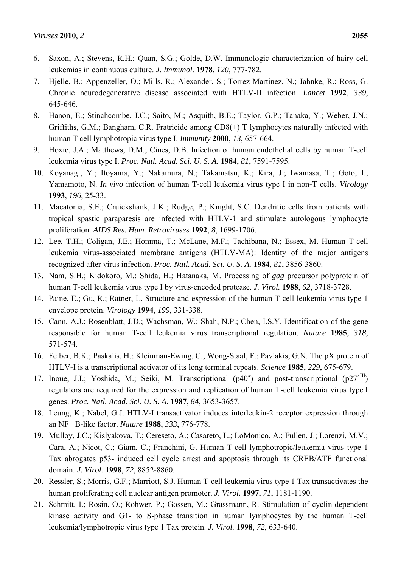- 6. Saxon, A.; Stevens, R.H.; Quan, S.G.; Golde, D.W. Immunologic characterization of hairy cell leukemias in continuous culture. *J. Immunol.* **1978**, *120*, 777-782.
- 7. Hjelle, B.; Appenzeller, O.; Mills, R.; Alexander, S.; Torrez-Martinez, N.; Jahnke, R.; Ross, G. Chronic neurodegenerative disease associated with HTLV-II infection. *Lancet* **1992**, *339*, 645-646.
- 8. Hanon, E.; Stinchcombe, J.C.; Saito, M.; Asquith, B.E.; Taylor, G.P.; Tanaka, Y.; Weber, J.N.; Griffiths, G.M.; Bangham, C.R. Fratricide among CD8(+) T lymphocytes naturally infected with human T cell lymphotropic virus type I. *Immunity* **2000**, *13*, 657-664.
- 9. Hoxie, J.A.; Matthews, D.M.; Cines, D.B. Infection of human endothelial cells by human T-cell leukemia virus type I. *Proc. Natl. Acad. Sci. U. S. A.* **1984**, *81*, 7591-7595.
- 10. Koyanagi, Y.; Itoyama, Y.; Nakamura, N.; Takamatsu, K.; Kira, J.; Iwamasa, T.; Goto, I.; Yamamoto, N. *In vivo* infection of human T-cell leukemia virus type I in non-T cells. *Virology*  **1993**, *196*, 25-33.
- 11. Macatonia, S.E.; Cruickshank, J.K.; Rudge, P.; Knight, S.C. Dendritic cells from patients with tropical spastic paraparesis are infected with HTLV-1 and stimulate autologous lymphocyte proliferation. *AIDS Res. Hum. Retroviruses* **1992**, *8*, 1699-1706.
- 12. Lee, T.H.; Coligan, J.E.; Homma, T.; McLane, M.F.; Tachibana, N.; Essex, M. Human T-cell leukemia virus-associated membrane antigens (HTLV-MA): Identity of the major antigens recognized after virus infection. *Proc. Natl. Acad. Sci. U. S. A.* **1984**, *81*, 3856-3860.
- 13. Nam, S.H.; Kidokoro, M.; Shida, H.; Hatanaka, M. Processing of *gag* precursor polyprotein of human T-cell leukemia virus type I by virus-encoded protease. *J. Virol.* **1988**, *62*, 3718-3728.
- 14. Paine, E.; Gu, R.; Ratner, L. Structure and expression of the human T-cell leukemia virus type 1 envelope protein. *Virology* **1994**, *199*, 331-338.
- 15. Cann, A.J.; Rosenblatt, J.D.; Wachsman, W.; Shah, N.P.; Chen, I.S.Y. Identification of the gene responsible for human T-cell leukemia virus transcriptional regulation. *Nature* **1985**, *318*, 571-574.
- 16. Felber, B.K.; Paskalis, H.; Kleinman-Ewing, C.; Wong-Staal, F.; Pavlakis, G.N. The pX protein of HTLV-I is a transcriptional activator of its long terminal repeats. *Science* **1985**, *229*, 675-679.
- 17. Inoue, J.I.; Yoshida, M.; Seiki, M. Transcriptional  $(p40^x)$  and post-transcriptional  $(p27^{xIII})$ regulators are required for the expression and replication of human T-cell leukemia virus type I genes. *Proc. Natl. Acad. Sci. U. S. A.* **1987**, *84*, 3653-3657.
- 18. Leung, K.; Nabel, G.J. HTLV-I transactivator induces interleukin-2 receptor expression through an NFB-like factor. *Nature* **1988**, *333*, 776-778.
- 19. Mulloy, J.C.; Kislyakova, T.; Cereseto, A.; Casareto, L.; LoMonico, A.; Fullen, J.; Lorenzi, M.V.; Cara, A.; Nicot, C.; Giam, C.; Franchini, G. Human T-cell lymphotropic/leukemia virus type 1 Tax abrogates p53- induced cell cycle arrest and apoptosis through its CREB/ATF functional domain. *J. Virol.* **1998**, *72*, 8852-8860.
- 20. Ressler, S.; Morris, G.F.; Marriott, S.J. Human T-cell leukemia virus type 1 Tax transactivates the human proliferating cell nuclear antigen promoter. *J. Virol.* **1997**, *71*, 1181-1190.
- 21. Schmitt, I.; Rosin, O.; Rohwer, P.; Gossen, M.; Grassmann, R. Stimulation of cyclin-dependent kinase activity and G1- to S-phase transition in human lymphocytes by the human T-cell leukemia/lymphotropic virus type 1 Tax protein. *J. Virol.* **1998**, *72*, 633-640.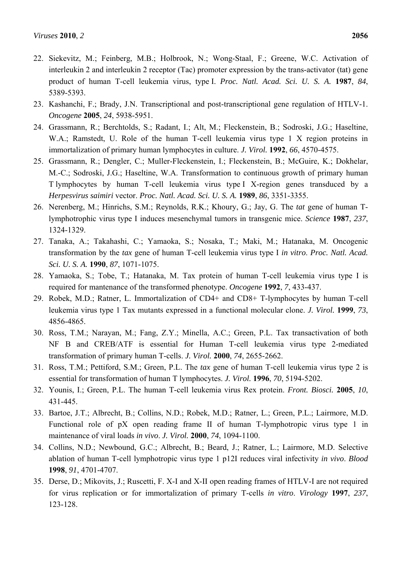- 22. Siekevitz, M.; Feinberg, M.B.; Holbrook, N.; Wong-Staal, F.; Greene, W.C. Activation of interleukin 2 and interleukin 2 receptor (Tac) promoter expression by the trans-activator (tat) gene product of human T-cell leukemia virus, type I. *Proc. Natl. Acad. Sci. U. S. A.* **1987**, *84*, 5389-5393.
- 23. Kashanchi, F.; Brady, J.N. Transcriptional and post-transcriptional gene regulation of HTLV-1. *Oncogene* **2005**, *24*, 5938-5951.
- 24. Grassmann, R.; Berchtolds, S.; Radant, I.; Alt, M.; Fleckenstein, B.; Sodroski, J.G.; Haseltine, W.A.; Ramstedt, U. Role of the human T-cell leukemia virus type 1 X region proteins in immortalization of primary human lymphocytes in culture. *J. Virol.* **1992**, *66*, 4570-4575.
- 25. Grassmann, R.; Dengler, C.; Muller-Fleckenstein, I.; Fleckenstein, B.; McGuire, K.; Dokhelar, M.-C.; Sodroski, J.G.; Haseltine, W.A. Transformation to continuous growth of primary human T lymphocytes by human T-cell leukemia virus type I X-region genes transduced by a *Herpesvirus saimiri* vector. *Proc. Natl. Acad. Sci. U. S. A.* **1989**, *86*, 3351-3355.
- 26. Nerenberg, M.; Hinrichs, S.M.; Reynolds, R.K.; Khoury, G.; Jay, G. The *tat* gene of human Tlymphotrophic virus type I induces mesenchymal tumors in transgenic mice. *Science* **1987**, *237*, 1324-1329.
- 27. Tanaka, A.; Takahashi, C.; Yamaoka, S.; Nosaka, T.; Maki, M.; Hatanaka, M. Oncogenic transformation by the *tax* gene of human T-cell leukemia virus type I *in vitro*. *Proc. Natl. Acad. Sci. U. S. A.* **1990**, *87*, 1071-1075.
- 28. Yamaoka, S.; Tobe, T.; Hatanaka, M. Tax protein of human T-cell leukemia virus type I is required for mantenance of the transformed phenotype. *Oncogene* **1992**, *7*, 433-437.
- 29. Robek, M.D.; Ratner, L. Immortalization of CD4+ and CD8+ T-lymphocytes by human T-cell leukemia virus type 1 Tax mutants expressed in a functional molecular clone. *J. Virol.* **1999**, *73*, 4856-4865.
- 30. Ross, T.M.; Narayan, M.; Fang, Z.Y.; Minella, A.C.; Green, P.L. Tax transactivation of both NFB and CREB/ATF is essential for Human T-cell leukemia virus type 2-mediated transformation of primary human T-cells. *J. Virol.* **2000**, *74*, 2655-2662.
- 31. Ross, T.M.; Pettiford, S.M.; Green, P.L. The *tax* gene of human T-cell leukemia virus type 2 is essential for transformation of human T lymphocytes. *J. Virol.* **1996**, *70*, 5194-5202.
- 32. Younis, I.; Green, P.L. The human T-cell leukemia virus Rex protein. *Front. Biosci.* **2005**, *10*, 431-445.
- 33. Bartoe, J.T.; Albrecht, B.; Collins, N.D.; Robek, M.D.; Ratner, L.; Green, P.L.; Lairmore, M.D. Functional role of pX open reading frame II of human T-lymphotropic virus type 1 in maintenance of viral loads *in vivo*. *J. Virol.* **2000**, *74*, 1094-1100.
- 34. Collins, N.D.; Newbound, G.C.; Albrecht, B.; Beard, J.; Ratner, L.; Lairmore, M.D. Selective ablation of human T-cell lymphotropic virus type 1 p12I reduces viral infectivity *in vivo*. *Blood*  **1998**, *91*, 4701-4707.
- 35. Derse, D.; Mikovits, J.; Ruscetti, F. X-I and X-II open reading frames of HTLV-I are not required for virus replication or for immortalization of primary T-cells *in vitro*. *Virology* **1997**, *237*, 123-128.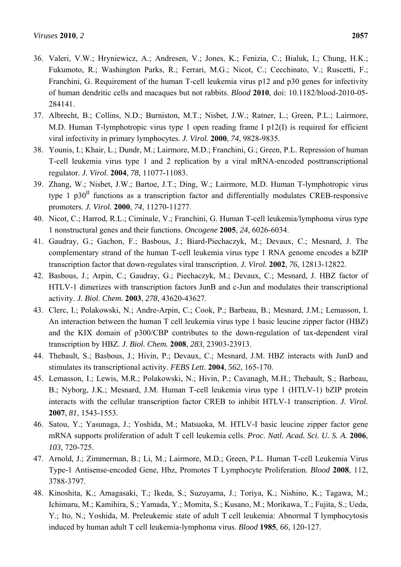- 36. Valeri, V.W.; Hryniewicz, A.; Andresen, V.; Jones, K.; Fenizia, C.; Bialuk, I.; Chung, H.K.; Fukumoto, R.; Washington Parks, R.; Ferrari, M.G.; Nicot, C.; Cecchinato, V.; Ruscetti, F.; Franchini, G. Requirement of the human T-cell leukemia virus p12 and p30 genes for infectivity of human dendritic cells and macaques but not rabbits. *Blood* **2010**, doi: 10.1182/blood-2010-05- 284141.
- 37. Albrecht, B.; Collins, N.D.; Burniston, M.T.; Nisbet, J.W.; Ratner, L.; Green, P.L.; Lairmore, M.D. Human T-lymphotropic virus type 1 open reading frame I p12(I) is required for efficient viral infectivity in primary lymphocytes. *J. Virol.* **2000**, *74*, 9828-9835.
- 38. Younis, I.; Khair, L.; Dundr, M.; Lairmore, M.D.; Franchini, G.; Green, P.L. Repression of human T-cell leukemia virus type 1 and 2 replication by a viral mRNA-encoded posttranscriptional regulator. *J. Virol.* **2004**, *78*, 11077-11083.
- 39. Zhang, W.; Nisbet, J.W.; Bartoe, J.T.; Ding, W.; Lairmore, M.D. Human T-lymphotropic virus type  $1$  p30<sup>II</sup> functions as a transcription factor and differentially modulates CREB-responsive promoters. *J. Virol.* **2000**, *74*, 11270-11277.
- 40. Nicot, C.; Harrod, R.L.; Ciminale, V.; Franchini, G. Human T-cell leukemia/lymphoma virus type 1 nonstructural genes and their functions. *Oncogene* **2005**, *24*, 6026-6034.
- 41. Gaudray, G.; Gachon, F.; Basbous, J.; Biard-Piechaczyk, M.; Devaux, C.; Mesnard, J. The complementary strand of the human T-cell leukemia virus type 1 RNA genome encodes a bZIP transcription factor that down-regulates viral transcription. *J. Virol.* **2002**, *76*, 12813-12822.
- 42. Basbous, J.; Arpin, C.; Gaudray, G.; Piechaczyk, M.; Devaux, C.; Mesnard, J. HBZ factor of HTLV-1 dimerizes with transcription factors JunB and c-Jun and modulates their transcriptional activity. *J. Biol. Chem.* **2003**, *278*, 43620-43627.
- 43. Clerc, I.; Polakowski, N.; Andre-Arpin, C.; Cook, P.; Barbeau, B.; Mesnard, J.M.; Lemasson, I. An interaction between the human T cell leukemia virus type 1 basic leucine zipper factor (HBZ) and the KIX domain of p300/CBP contributes to the down-regulation of tax-dependent viral transcription by HBZ. *J. Biol. Chem.* **2008**, *283*, 23903-23913.
- 44. Thebault, S.; Basbous, J.; Hivin, P.; Devaux, C.; Mesnard, J.M. HBZ interacts with JunD and stimulates its transcriptional activity. *FEBS Lett.* **2004**, *562*, 165-170.
- 45. Lemasson, I.; Lewis, M.R.; Polakowski, N.; Hivin, P.; Cavanagh, M.H.; Thebault, S.; Barbeau, B.; Nyborg, J.K.; Mesnard, J.M. Human T-cell leukemia virus type 1 (HTLV-1) bZIP protein interacts with the cellular transcription factor CREB to inhibit HTLV-1 transcription. *J. Virol.*  **2007**, *81*, 1543-1553.
- 46. Satou, Y.; Yasunaga, J.; Yoshida, M.; Matsuoka, M. HTLV-I basic leucine zipper factor gene mRNA supports proliferation of adult T cell leukemia cells. *Proc. Natl. Acad. Sci. U. S. A.* **2006**, *103*, 720-725.
- 47. Arnold, J.; Zimmerman, B.; Li, M.; Lairmore, M.D.; Green, P.L. Human T-cell Leukemia Virus Type-1 Antisense-encoded Gene, Hbz, Promotes T Lymphocyte Proliferation. *Blood* **2008**, 112, 3788-3797.
- 48. Kinoshita, K.; Amagasaki, T.; Ikeda, S.; Suzuyama, J.; Toriya, K.; Nishino, K.; Tagawa, M.; Ichimaru, M.; Kamihira, S.; Yamada, Y.; Momita, S.; Kusano, M.; Morikawa, T.; Fujita, S.; Ueda, Y.; Ito, N.; Yoshida, M. Preleukemic state of adult T cell leukemia: Abnormal T lymphocytosis induced by human adult T cell leukemia-lymphoma virus. *Blood* **1985**, *66*, 120-127.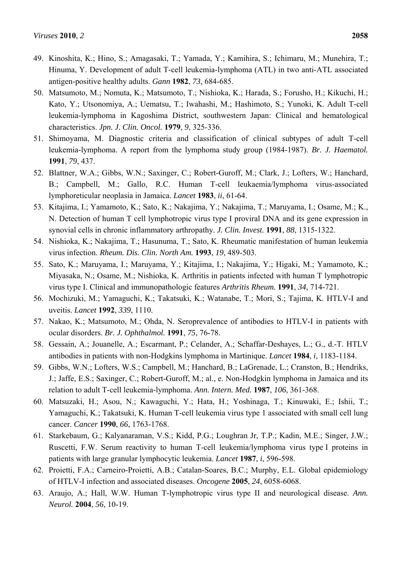- 49. Kinoshita, K.; Hino, S.; Amagasaki, T.; Yamada, Y.; Kamihira, S.; Ichimaru, M.; Munehira, T.; Hinuma, Y. Development of adult T-cell leukemia-lymphoma (ATL) in two anti-ATL associated antigen-positive healthy adults. *Gann* **1982**, *73*, 684-685.
- 50. Matsumoto, M.; Nomuta, K.; Matsumoto, T.; Nishioka, K.; Harada, S.; Forusho, H.; Kikuchi, H.; Kato, Y.; Utsonomiya, A.; Uematsu, T.; Iwahashi, M.; Hashimoto, S.; Yunoki, K. Adult T-cell leukemia-lymphoma in Kagoshima District, southwestern Japan: Clinical and hematological characteristics. *Jpn. J. Clin. Oncol.* **1979**, *9*, 325-336.
- 51. Shimoyama, M. Diagnostic criteria and classification of clinical subtypes of adult T-cell leukemia-lymphoma. A report from the lymphoma study group (1984-1987). *Br. J. Haematol.*  **1991**, *79*, 437.
- 52. Blattner, W.A.; Gibbs, W.N.; Saxinger, C.; Robert-Guroff, M.; Clark, J.; Lofters, W.; Hanchard, B.; Campbell, M.; Gallo, R.C. Human T-cell leukaemia/lymphoma virus-associated lymphoreticular neoplasia in Jamaica. *Lancet* **1983**, *ii*, 61-64.
- 53. Kitajima, I.; Yamamoto, K.; Sato, K.; Nakajima, Y.; Nakajima, T.; Maruyama, I.; Osame, M.; K., N. Detection of human T cell lymphotropic virus type I proviral DNA and its gene expression in synovial cells in chronic inflammatory arthropathy. *J. Clin. Invest.* **1991**, *88*, 1315-1322.
- 54. Nishioka, K.; Nakajima, T.; Hasunuma, T.; Sato, K. Rheumatic manifestation of human leukemia virus infection. *Rheum. Dis. Clin. North Am.* **1993**, *19*, 489-503.
- 55. Sato, K.; Maruyama, I.; Maruyama, Y.; Kitajima, I.; Nakajima, Y.; Higaki, M.; Yamamoto, K.; Miyasaka, N.; Osame, M.; Nishioka, K. Arthritis in patients infected with human T lymphotropic virus type I. Clinical and immunopathologic features *Arthritis Rheum.* **1991**, *34*, 714-721.
- 56. Mochizuki, M.; Yamaguchi, K.; Takatsuki, K.; Watanabe, T.; Mori, S.; Tajima, K. HTLV-I and uveitis. *Lancet* **1992**, *339*, 1110.
- 57. Nakao, K.; Matsumoto, M.; Ohda, N. Seroprevalence of antibodies to HTLV-I in patients with ocular disorders. *Br. J. Ophthalmol.* **1991**, *75*, 76-78.
- 58. Gessain, A.; Jouanelle, A.; Escarmant, P.; Celander, A.; Schaffar-Deshayes, L.; G., d.-T. HTLV antibodies in patients with non-Hodgkins lymphoma in Martinique. *Lancet* **1984**, *i*, 1183-1184.
- 59. Gibbs, W.N.; Lofters, W.S.; Campbell, M.; Hanchard, B.; LaGrenade, L.; Cranston, B.; Hendriks, J.; Jaffe, E.S.; Saxinger, C.; Robert-Guroff, M.; al., e. Non-Hodgkin lymphoma in Jamaica and its relation to adult T-cell leukemia-lymphoma. *Ann. Intern. Med.* **1987**, *106*, 361-368.
- 60. Matsuzaki, H.; Asou, N.; Kawaguchi, Y.; Hata, H.; Yoshinaga, T.; Kinuwaki, E.; Ishii, T.; Yamaguchi, K.; Takatsuki, K. Human T-cell leukemia virus type 1 associated with small cell lung cancer. *Cancer* **1990**, *66*, 1763-1768.
- 61. Starkebaum, G.; Kalyanaraman, V.S.; Kidd, P.G.; Loughran Jr, T.P.; Kadin, M.E.; Singer, J.W.; Ruscetti, F.W. Serum reactivity to human T-cell leukemia/lymphoma virus type I proteins in patients with large granular lymphocytic leukemia. *Lancet* **1987**, *i*, 596-598.
- 62. Proietti, F.A.; Carneiro-Proietti, A.B.; Catalan-Soares, B.C.; Murphy, E.L. Global epidemiology of HTLV-I infection and associated diseases. *Oncogene* **2005**, *24*, 6058-6068.
- 63. Araujo, A.; Hall, W.W. Human T-lymphotropic virus type II and neurological disease. *Ann. Neurol.* **2004**, *56*, 10-19.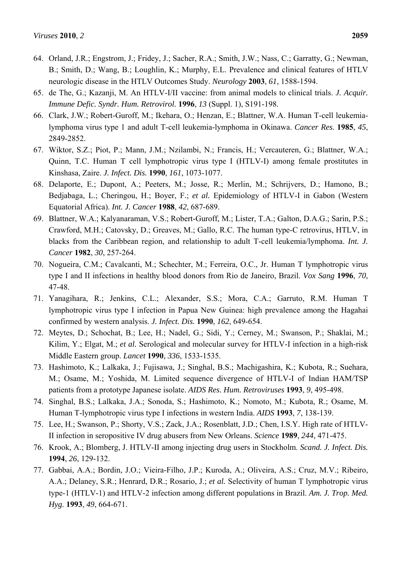- 64. Orland, J.R.; Engstrom, J.; Fridey, J.; Sacher, R.A.; Smith, J.W.; Nass, C.; Garratty, G.; Newman, B.; Smith, D.; Wang, B.; Loughlin, K.; Murphy, E.L. Prevalence and clinical features of HTLV neurologic disease in the HTLV Outcomes Study. *Neurology* **2003**, *61*, 1588-1594.
- 65. de The, G.; Kazanji, M. An HTLV-I/II vaccine: from animal models to clinical trials. *J. Acquir. Immune Defic. Syndr. Hum. Retrovirol.* **1996**, *13* (Suppl. 1), S191-198.
- 66. Clark, J.W.; Robert-Guroff, M.; Ikehara, O.; Henzan, E.; Blattner, W.A. Human T-cell leukemialymphoma virus type 1 and adult T-cell leukemia-lymphoma in Okinawa. *Cancer Res.* **1985**, *45*, 2849-2852.
- 67. Wiktor, S.Z.; Piot, P.; Mann, J.M.; Nzilambi, N.; Francis, H.; Vercauteren, G.; Blattner, W.A.; Quinn, T.C. Human T cell lymphotropic virus type I (HTLV-I) among female prostitutes in Kinshasa, Zaire. *J. Infect. Dis.* **1990**, *161*, 1073-1077.
- 68. Delaporte, E.; Dupont, A.; Peeters, M.; Josse, R.; Merlin, M.; Schrijvers, D.; Hamono, B.; Bedjabaga, L.; Cheringou, H.; Boyer, F.; *et al.* Epidemiology of HTLV-I in Gabon (Western Equatorial Africa). *Int. J. Cancer* **1988**, *42*, 687-689.
- 69. Blattner, W.A.; Kalyanaraman, V.S.; Robert-Guroff, M.; Lister, T.A.; Galton, D.A.G.; Sarin, P.S.; Crawford, M.H.; Catovsky, D.; Greaves, M.; Gallo, R.C. The human type-C retrovirus, HTLV, in blacks from the Caribbean region, and relationship to adult T-cell leukemia/lymphoma. *Int. J. Cancer* **1982**, *30*, 257-264.
- 70. Nogueira, C.M.; Cavalcanti, M.; Schechter, M.; Ferreira, O.C., Jr. Human T lymphotropic virus type I and II infections in healthy blood donors from Rio de Janeiro, Brazil. *Vox Sang* **1996**, *70*, 47-48.
- 71. Yanagihara, R.; Jenkins, C.L.; Alexander, S.S.; Mora, C.A.; Garruto, R.M. Human T lymphotropic virus type I infection in Papua New Guinea: high prevalence among the Hagahai confirmed by western analysis. *J. Infect. Dis.* **1990**, *162*, 649-654.
- 72. Meytes, D.; Schochat, B.; Lee, H.; Nadel, G.; Sidi, Y.; Cerney, M.; Swanson, P.; Shaklai, M.; Kilim, Y.; Elgat, M.; *et al.* Serological and molecular survey for HTLV-I infection in a high-risk Middle Eastern group. *Lancet* **1990**, *336*, 1533-1535.
- 73. Hashimoto, K.; Lalkaka, J.; Fujisawa, J.; Singhal, B.S.; Machigashira, K.; Kubota, R.; Suehara, M.; Osame, M.; Yoshida, M. Limited sequence divergence of HTLV-I of Indian HAM/TSP patients from a prototype Japanese isolate. *AIDS Res. Hum. Retroviruses* **1993**, *9*, 495-498.
- 74. Singhal, B.S.; Lalkaka, J.A.; Sonoda, S.; Hashimoto, K.; Nomoto, M.; Kubota, R.; Osame, M. Human T-lymphotropic virus type I infections in western India. *AIDS* **1993**, *7*, 138-139.
- 75. Lee, H.; Swanson, P.; Shorty, V.S.; Zack, J.A.; Rosenblatt, J.D.; Chen, I.S.Y. High rate of HTLV-II infection in seropositive IV drug abusers from New Orleans. *Science* **1989**, *244*, 471-475.
- 76. Krook, A.; Blomberg, J. HTLV-II among injecting drug users in Stockholm. *Scand. J. Infect. Dis.*  **1994**, *26*, 129-132.
- 77. Gabbai, A.A.; Bordin, J.O.; Vieira-Filho, J.P.; Kuroda, A.; Oliveira, A.S.; Cruz, M.V.; Ribeiro, A.A.; Delaney, S.R.; Henrard, D.R.; Rosario, J.; *et al.* Selectivity of human T lymphotropic virus type-1 (HTLV-1) and HTLV-2 infection among different populations in Brazil. *Am. J. Trop. Med. Hyg.* **1993**, *49*, 664-671.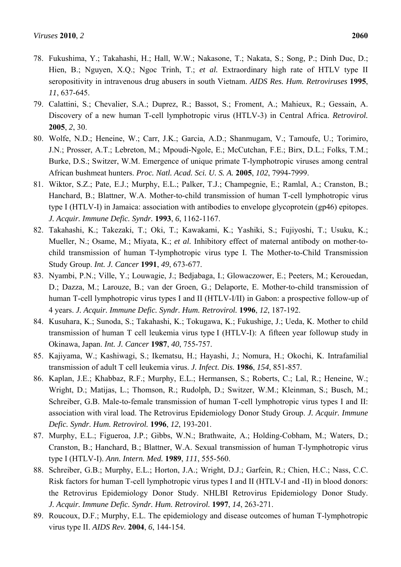- 78. Fukushima, Y.; Takahashi, H.; Hall, W.W.; Nakasone, T.; Nakata, S.; Song, P.; Dinh Duc, D.; Hien, B.; Nguyen, X.Q.; Ngoc Trinh, T.; *et al.* Extraordinary high rate of HTLV type II seropositivity in intravenous drug abusers in south Vietnam. *AIDS Res. Hum. Retroviruses* **1995**, *11*, 637-645.
- 79. Calattini, S.; Chevalier, S.A.; Duprez, R.; Bassot, S.; Froment, A.; Mahieux, R.; Gessain, A. Discovery of a new human T-cell lymphotropic virus (HTLV-3) in Central Africa. *Retrovirol.*  **2005**, *2*, 30.
- 80. Wolfe, N.D.; Heneine, W.; Carr, J.K.; Garcia, A.D.; Shanmugam, V.; Tamoufe, U.; Torimiro, J.N.; Prosser, A.T.; Lebreton, M.; Mpoudi-Ngole, E.; McCutchan, F.E.; Birx, D.L.; Folks, T.M.; Burke, D.S.; Switzer, W.M. Emergence of unique primate T-lymphotropic viruses among central African bushmeat hunters. *Proc. Natl. Acad. Sci. U. S. A.* **2005**, *102*, 7994-7999.
- 81. Wiktor, S.Z.; Pate, E.J.; Murphy, E.L.; Palker, T.J.; Champegnie, E.; Ramlal, A.; Cranston, B.; Hanchard, B.; Blattner, W.A. Mother-to-child transmission of human T-cell lymphotropic virus type I (HTLV-I) in Jamaica: association with antibodies to envelope glycoprotein (gp46) epitopes. *J. Acquir. Immune Defic. Syndr.* **1993**, *6*, 1162-1167.
- 82. Takahashi, K.; Takezaki, T.; Oki, T.; Kawakami, K.; Yashiki, S.; Fujiyoshi, T.; Usuku, K.; Mueller, N.; Osame, M.; Miyata, K.; *et al.* Inhibitory effect of maternal antibody on mother-tochild transmission of human T-lymphotropic virus type I. The Mother-to-Child Transmission Study Group. *Int. J. Cancer* **1991**, *49*, 673-677.
- 83. Nyambi, P.N.; Ville, Y.; Louwagie, J.; Bedjabaga, I.; Glowaczower, E.; Peeters, M.; Kerouedan, D.; Dazza, M.; Larouze, B.; van der Groen, G.; Delaporte, E. Mother-to-child transmission of human T-cell lymphotropic virus types I and II (HTLV-I/II) in Gabon: a prospective follow-up of 4 years. *J. Acquir. Immune Defic. Syndr. Hum. Retrovirol.* **1996**, *12*, 187-192.
- 84. Kusuhara, K.; Sunoda, S.; Takahashi, K.; Tokugawa, K.; Fukushige, J.; Ueda, K. Mother to child transmission of human T cell leukemia virus type I (HTLV-I): A fifteen year followup study in Okinawa, Japan. *Int. J. Cancer* **1987**, *40*, 755-757.
- 85. Kajiyama, W.; Kashiwagi, S.; Ikematsu, H.; Hayashi, J.; Nomura, H.; Okochi, K. Intrafamilial transmission of adult T cell leukemia virus. *J. Infect. Dis.* **1986**, *154*, 851-857.
- 86. Kaplan, J.E.; Khabbaz, R.F.; Murphy, E.L.; Hermansen, S.; Roberts, C.; Lal, R.; Heneine, W.; Wright, D.; Matijas, L.; Thomson, R.; Rudolph, D.; Switzer, W.M.; Kleinman, S.; Busch, M.; Schreiber, G.B. Male-to-female transmission of human T-cell lymphotropic virus types I and II: association with viral load. The Retrovirus Epidemiology Donor Study Group. *J. Acquir. Immune Defic. Syndr. Hum. Retrovirol.* **1996**, *12*, 193-201.
- 87. Murphy, E.L.; Figueroa, J.P.; Gibbs, W.N.; Brathwaite, A.; Holding-Cobham, M.; Waters, D.; Cranston, B.; Hanchard, B.; Blattner, W.A. Sexual transmission of human T-lymphotropic virus type I (HTLV-I). *Ann. Intern. Med.* **1989**, *111*, 555-560.
- 88. Schreiber, G.B.; Murphy, E.L.; Horton, J.A.; Wright, D.J.; Garfein, R.; Chien, H.C.; Nass, C.C. Risk factors for human T-cell lymphotropic virus types I and II (HTLV-I and -II) in blood donors: the Retrovirus Epidemiology Donor Study. NHLBI Retrovirus Epidemiology Donor Study. *J. Acquir. Immune Defic. Syndr. Hum. Retrovirol.* **1997**, *14*, 263-271.
- 89. Roucoux, D.F.; Murphy, E.L. The epidemiology and disease outcomes of human T-lymphotropic virus type II. *AIDS Rev.* **2004**, *6*, 144-154.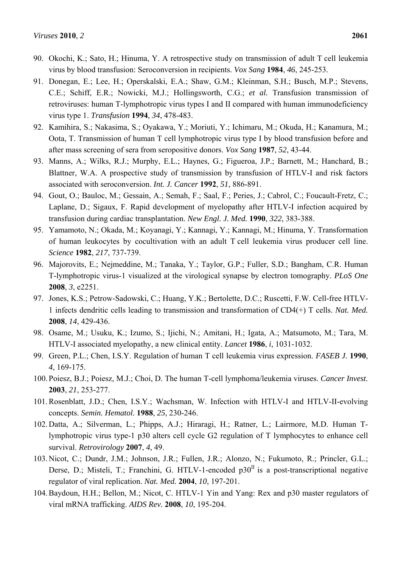- 90. Okochi, K.; Sato, H.; Hinuma, Y. A retrospective study on transmission of adult T cell leukemia virus by blood transfusion: Seroconversion in recipients. *Vox Sang* **1984**, *46*, 245-253.
- 91. Donegan, E.; Lee, H.; Operskalski, E.A.; Shaw, G.M.; Kleinman, S.H.; Busch, M.P.; Stevens, C.E.; Schiff, E.R.; Nowicki, M.J.; Hollingsworth, C.G.; *et al.* Transfusion transmission of retroviruses: human T-lymphotropic virus types I and II compared with human immunodeficiency virus type 1. *Transfusion* **1994**, *34*, 478-483.
- 92. Kamihira, S.; Nakasima, S.; Oyakawa, Y.; Moriuti, Y.; Ichimaru, M.; Okuda, H.; Kanamura, M.; Oota, T. Transmission of human T cell lymphotropic virus type I by blood transfusion before and after mass screening of sera from seropositive donors. *Vox Sang* **1987**, *52*, 43-44.
- 93. Manns, A.; Wilks, R.J.; Murphy, E.L.; Haynes, G.; Figueroa, J.P.; Barnett, M.; Hanchard, B.; Blattner, W.A. A prospective study of transmission by transfusion of HTLV-I and risk factors associated with seroconversion. *Int. J. Cancer* **1992**, *51*, 886-891.
- 94. Gout, O.; Bauloc, M.; Gessain, A.; Semah, F.; Saal, F.; Peries, J.; Cabrol, C.; Foucault-Fretz, C.; Laplane, D.; Sigaux, F. Rapid development of myelopathy after HTLV-I infection acquired by transfusion during cardiac transplantation. *New Engl. J. Med.* **1990**, *322*, 383-388.
- 95. Yamamoto, N.; Okada, M.; Koyanagi, Y.; Kannagi, Y.; Kannagi, M.; Hinuma, Y. Transformation of human leukocytes by cocultivation with an adult T cell leukemia virus producer cell line. *Science* **1982**, *217*, 737-739.
- 96. Majorovits, E.; Nejmeddine, M.; Tanaka, Y.; Taylor, G.P.; Fuller, S.D.; Bangham, C.R. Human T-lymphotropic virus-1 visualized at the virological synapse by electron tomography. *PLoS One*  **2008**, *3*, e2251.
- 97. Jones, K.S.; Petrow-Sadowski, C.; Huang, Y.K.; Bertolette, D.C.; Ruscetti, F.W. Cell-free HTLV-1 infects dendritic cells leading to transmission and transformation of CD4(+) T cells. *Nat. Med.*  **2008**, *14*, 429-436.
- 98. Osame, M.; Usuku, K.; Izumo, S.; Ijichi, N.; Amitani, H.; Igata, A.; Matsumoto, M.; Tara, M. HTLV-I associated myelopathy, a new clinical entity. *Lancet* **1986**, *i*, 1031-1032.
- 99. Green, P.L.; Chen, I.S.Y. Regulation of human T cell leukemia virus expression. *FASEB J.* **1990**, *4*, 169-175.
- 100. Poiesz, B.J.; Poiesz, M.J.; Choi, D. The human T-cell lymphoma/leukemia viruses. *Cancer Invest.*  **2003**, *21*, 253-277.
- 101. Rosenblatt, J.D.; Chen, I.S.Y.; Wachsman, W. Infection with HTLV-I and HTLV-II-evolving concepts. *Semin. Hematol.* **1988**, *25*, 230-246.
- 102. Datta, A.; Silverman, L.; Phipps, A.J.; Hiraragi, H.; Ratner, L.; Lairmore, M.D. Human Tlymphotropic virus type-1 p30 alters cell cycle G2 regulation of T lymphocytes to enhance cell survival. *Retrovirology* **2007**, *4*, 49.
- 103. Nicot, C.; Dundr, J.M.; Johnson, J.R.; Fullen, J.R.; Alonzo, N.; Fukumoto, R.; Princler, G.L.; Derse, D.; Misteli, T.; Franchini, G. HTLV-1-encoded  $p30<sup>II</sup>$  is a post-transcriptional negative regulator of viral replication. *Nat. Med.* **2004**, *10*, 197-201.
- 104. Baydoun, H.H.; Bellon, M.; Nicot, C. HTLV-1 Yin and Yang: Rex and p30 master regulators of viral mRNA trafficking. *AIDS Rev.* **2008**, *10*, 195-204.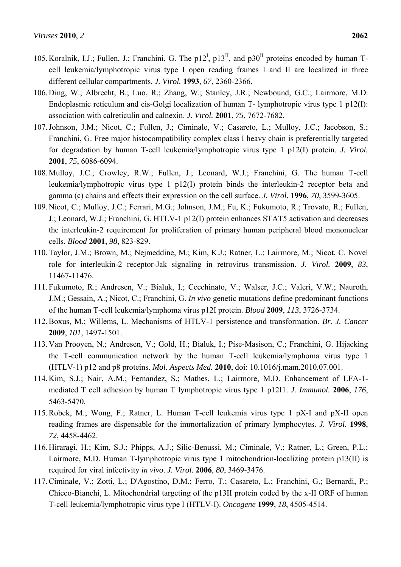- 105. Koralnik, I.J.; Fullen, J.; Franchini, G. The  $p12^I$ ,  $p13^II$ , and  $p30^II$  proteins encoded by human Tcell leukemia/lymphotropic virus type I open reading frames I and II are localized in three different cellular compartments. *J. Virol.* **1993**, *67*, 2360-2366.
- 106. Ding, W.; Albrecht, B.; Luo, R.; Zhang, W.; Stanley, J.R.; Newbound, G.C.; Lairmore, M.D. Endoplasmic reticulum and cis-Golgi localization of human T- lymphotropic virus type 1 p12(I): association with calreticulin and calnexin. *J. Virol.* **2001**, *75*, 7672-7682.
- 107. Johnson, J.M.; Nicot, C.; Fullen, J.; Ciminale, V.; Casareto, L.; Mulloy, J.C.; Jacobson, S.; Franchini, G. Free major histocompatibility complex class I heavy chain is preferentially targeted for degradation by human T-cell leukemia/lymphotropic virus type 1 p12(I) protein. *J. Virol.*  **2001**, *75*, 6086-6094.
- 108. Mulloy, J.C.; Crowley, R.W.; Fullen, J.; Leonard, W.J.; Franchini, G. The human T-cell leukemia/lymphotropic virus type 1 p12(I) protein binds the interleukin-2 receptor beta and gamma (c) chains and effects their expression on the cell surface. *J. Virol.* **1996**, *70*, 3599-3605.
- 109. Nicot, C.; Mulloy, J.C.; Ferrari, M.G.; Johnson, J.M.; Fu, K.; Fukumoto, R.; Trovato, R.; Fullen, J.; Leonard, W.J.; Franchini, G. HTLV-1 p12(I) protein enhances STAT5 activation and decreases the interleukin-2 requirement for proliferation of primary human peripheral blood mononuclear cells. *Blood* **2001**, *98*, 823-829.
- 110. Taylor, J.M.; Brown, M.; Nejmeddine, M.; Kim, K.J.; Ratner, L.; Lairmore, M.; Nicot, C. Novel role for interleukin-2 receptor-Jak signaling in retrovirus transmission. *J. Virol.* **2009**, *83*, 11467-11476.
- 111. Fukumoto, R.; Andresen, V.; Bialuk, I.; Cecchinato, V.; Walser, J.C.; Valeri, V.W.; Nauroth, J.M.; Gessain, A.; Nicot, C.; Franchini, G. *In vivo* genetic mutations define predominant functions of the human T-cell leukemia/lymphoma virus p12I protein. *Blood* **2009**, *113*, 3726-3734.
- 112. Boxus, M.; Willems, L. Mechanisms of HTLV-1 persistence and transformation. *Br. J. Cancer*  **2009**, *101*, 1497-1501.
- 113. Van Prooyen, N.; Andresen, V.; Gold, H.; Bialuk, I.; Pise-Masison, C.; Franchini, G. Hijacking the T-cell communication network by the human T-cell leukemia/lymphoma virus type 1 (HTLV-1) p12 and p8 proteins. *Mol. Aspects Med.* **2010**, doi: 10.1016/j.mam.2010.07.001.
- 114. Kim, S.J.; Nair, A.M.; Fernandez, S.; Mathes, L.; Lairmore, M.D. Enhancement of LFA-1 mediated T cell adhesion by human T lymphotropic virus type 1 p12I1. *J. Immunol.* **2006**, *176*, 5463-5470.
- 115. Robek, M.; Wong, F.; Ratner, L. Human T-cell leukemia virus type 1 pX-I and pX-II open reading frames are dispensable for the immortalization of primary lymphocytes. *J. Virol.* **1998**, *72*, 4458-4462.
- 116. Hiraragi, H.; Kim, S.J.; Phipps, A.J.; Silic-Benussi, M.; Ciminale, V.; Ratner, L.; Green, P.L.; Lairmore, M.D. Human T-lymphotropic virus type 1 mitochondrion-localizing protein p13(II) is required for viral infectivity *in vivo*. *J. Virol.* **2006**, *80*, 3469-3476.
- 117. Ciminale, V.; Zotti, L.; D'Agostino, D.M.; Ferro, T.; Casareto, L.; Franchini, G.; Bernardi, P.; Chieco-Bianchi, L. Mitochondrial targeting of the p13II protein coded by the x-II ORF of human T-cell leukemia/lymphotropic virus type I (HTLV-I). *Oncogene* **1999**, *18*, 4505-4514.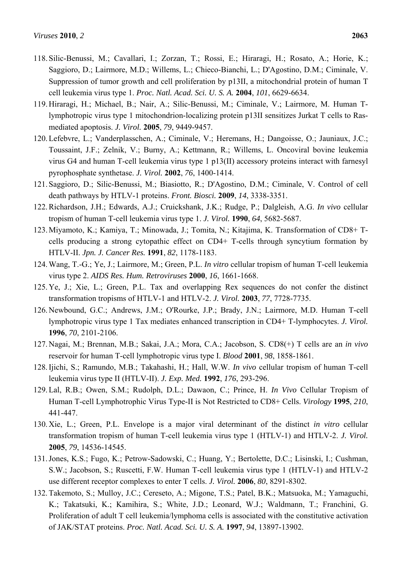- 118. Silic-Benussi, M.; Cavallari, I.; Zorzan, T.; Rossi, E.; Hiraragi, H.; Rosato, A.; Horie, K.; Saggioro, D.; Lairmore, M.D.; Willems, L.; Chieco-Bianchi, L.; D'Agostino, D.M.; Ciminale, V. Suppression of tumor growth and cell proliferation by p13II, a mitochondrial protein of human T cell leukemia virus type 1. *Proc. Natl. Acad. Sci. U. S. A.* **2004**, *101*, 6629-6634.
- 119. Hiraragi, H.; Michael, B.; Nair, A.; Silic-Benussi, M.; Ciminale, V.; Lairmore, M. Human Tlymphotropic virus type 1 mitochondrion-localizing protein p13II sensitizes Jurkat T cells to Rasmediated apoptosis. *J. Virol.* **2005**, *79*, 9449-9457.
- 120. Lefebvre, L.; Vanderplasschen, A.; Ciminale, V.; Heremans, H.; Dangoisse, O.; Jauniaux, J.C.; Toussaint, J.F.; Zelnik, V.; Burny, A.; Kettmann, R.; Willems, L. Oncoviral bovine leukemia virus G4 and human T-cell leukemia virus type 1 p13(II) accessory proteins interact with farnesyl pyrophosphate synthetase. *J. Virol.* **2002**, *76*, 1400-1414.
- 121. Saggioro, D.; Silic-Benussi, M.; Biasiotto, R.; D'Agostino, D.M.; Ciminale, V. Control of cell death pathways by HTLV-1 proteins. *Front. Biosci.* **2009**, *14*, 3338-3351.
- 122. Richardson, J.H.; Edwards, A.J.; Cruickshank, J.K.; Rudge, P.; Dalgleish, A.G. *In vivo* cellular tropism of human T-cell leukemia virus type 1. *J. Virol.* **1990**, *64*, 5682-5687.
- 123. Miyamoto, K.; Kamiya, T.; Minowada, J.; Tomita, N.; Kitajima, K. Transformation of CD8+ Tcells producing a strong cytopathic effect on CD4+ T-cells through syncytium formation by HTLV-II. *Jpn. J. Cancer Res.* **1991**, *82*, 1178-1183.
- 124. Wang, T.-G.; Ye, J.; Lairmore, M.; Green, P.L. *In vitro* cellular tropism of human T-cell leukemia virus type 2. *AIDS Res. Hum. Retroviruses* **2000**, *16*, 1661-1668.
- 125. Ye, J.; Xie, L.; Green, P.L. Tax and overlapping Rex sequences do not confer the distinct transformation tropisms of HTLV-1 and HTLV-2. *J. Virol.* **2003**, *77*, 7728-7735.
- 126. Newbound, G.C.; Andrews, J.M.; O'Rourke, J.P.; Brady, J.N.; Lairmore, M.D. Human T-cell lymphotropic virus type 1 Tax mediates enhanced transcription in CD4+ T-lymphocytes. *J. Virol.*  **1996**, *70*, 2101-2106.
- 127. Nagai, M.; Brennan, M.B.; Sakai, J.A.; Mora, C.A.; Jacobson, S. CD8(+) T cells are an *in vivo* reservoir for human T-cell lymphotropic virus type I. *Blood* **2001**, *98*, 1858-1861.
- 128. Ijichi, S.; Ramundo, M.B.; Takahashi, H.; Hall, W.W. *In vivo* cellular tropism of human T-cell leukemia virus type II (HTLV-II). *J. Exp. Med.* **1992**, *176*, 293-296.
- 129. Lal, R.B.; Owen, S.M.; Rudolph, D.L.; Dawaon, C.; Prince, H. *In Vivo* Cellular Tropism of Human T-cell Lymphotrophic Virus Type-II is Not Restricted to CD8+ Cells. *Virology* **1995**, *210*, 441-447.
- 130. Xie, L.; Green, P.L. Envelope is a major viral determinant of the distinct *in vitro* cellular transformation tropism of human T-cell leukemia virus type 1 (HTLV-1) and HTLV-2. *J. Virol.*  **2005**, *79*, 14536-14545.
- 131. Jones, K.S.; Fugo, K.; Petrow-Sadowski, C.; Huang, Y.; Bertolette, D.C.; Lisinski, I.; Cushman, S.W.; Jacobson, S.; Ruscetti, F.W. Human T-cell leukemia virus type 1 (HTLV-1) and HTLV-2 use different receptor complexes to enter T cells. *J. Virol.* **2006**, *80*, 8291-8302.
- 132. Takemoto, S.; Mulloy, J.C.; Cereseto, A.; Migone, T.S.; Patel, B.K.; Matsuoka, M.; Yamaguchi, K.; Takatsuki, K.; Kamihira, S.; White, J.D.; Leonard, W.J.; Waldmann, T.; Franchini, G. Proliferation of adult T cell leukemia/lymphoma cells is associated with the constitutive activation of JAK/STAT proteins. *Proc. Natl. Acad. Sci. U. S. A.* **1997**, *94*, 13897-13902.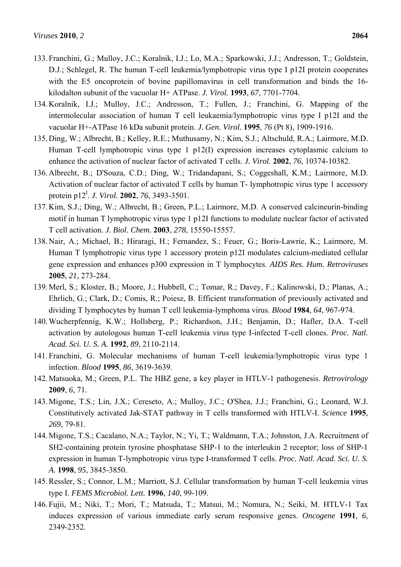- 133. Franchini, G.; Mulloy, J.C.; Koralnik, I.J.; Lo, M.A.; Sparkowski, J.J.; Andresson, T.; Goldstein, D.J.; Schlegel, R. The human T-cell leukemia/lymphotropic virus type I p12I protein cooperates with the E5 oncoprotein of bovine papillomavirus in cell transformation and binds the 16 kilodalton subunit of the vacuolar H+ ATPase. *J. Virol.* **1993**, *67*, 7701-7704.
- 134. Koralnik, I.J.; Mulloy, J.C.; Andresson, T.; Fullen, J.; Franchini, G. Mapping of the intermolecular association of human T cell leukaemia/lymphotropic virus type I p12I and the vacuolar H+-ATPase 16 kDa subunit protein. *J. Gen. Virol.* **1995**, *76* (Pt 8), 1909-1916.
- 135. Ding, W.; Albrecht, B.; Kelley, R.E.; Muthusamy, N.; Kim, S.J.; Altschuld, R.A.; Lairmore, M.D. Human T-cell lymphotropic virus type 1 p12(I) expression increases cytoplasmic calcium to enhance the activation of nuclear factor of activated T cells. *J. Virol.* **2002**, *76*, 10374-10382.
- 136. Albrecht, B.; D'Souza, C.D.; Ding, W.; Tridandapani, S.; Coggeshall, K.M.; Lairmore, M.D. Activation of nuclear factor of activated T cells by human T- lymphotropic virus type 1 accessory protein p12<sup>I</sup>. *J. Virol.* **2002**, 76, 3493-3501.
- 137. Kim, S.J.; Ding, W.; Albrecht, B.; Green, P.L.; Lairmore, M.D. A conserved calcineurin-binding motif in human T lymphotropic virus type 1 p12I functions to modulate nuclear factor of activated T cell activation. *J. Biol. Chem.* **2003**, *278*, 15550-15557.
- 138. Nair, A.; Michael, B.; Hiraragi, H.; Fernandez, S.; Feuer, G.; Boris-Lawrie, K.; Lairmore, M. Human T lymphotropic virus type 1 accessory protein p12I modulates calcium-mediated cellular gene expression and enhances p300 expression in T lymphocytes. *AIDS Res. Hum. Retroviruses*  **2005**, *21*, 273-284.
- 139. Merl, S.; Kloster, B.; Moore, J.; Hubbell, C.; Tomar, R.; Davey, F.; Kalinowski, D.; Planas, A.; Ehrlich, G.; Clark, D.; Comis, R.; Poiesz, B. Efficient transformation of previously activated and dividing T lymphocytes by human T cell leukemia-lymphoma virus. *Blood* **1984**, *64*, 967-974.
- 140. Wucherpfennig, K.W.; Hollsberg, P.; Richardson, J.H.; Benjamin, D.; Hafler, D.A. T-cell activation by autologous human T-cell leukemia virus type I-infected T-cell clones. *Proc. Natl. Acad. Sci. U. S. A.* **1992**, *89*, 2110-2114.
- 141. Franchini, G. Molecular mechanisms of human T-cell leukemia/lymphotropic virus type 1 infection. *Blood* **1995**, *86*, 3619-3639.
- 142. Matsuoka, M.; Green, P.L. The HBZ gene, a key player in HTLV-1 pathogenesis. *Retrovirology*  **2009**, *6*, 71.
- 143. Migone, T.S.; Lin, J.X.; Cereseto, A.; Mulloy, J.C.; O'Shea, J.J.; Franchini, G.; Leonard, W.J. Constitutively activated Jak-STAT pathway in T cells transformed with HTLV-I. *Science* **1995**, *269*, 79-81.
- 144. Migone, T.S.; Cacalano, N.A.; Taylor, N.; Yi, T.; Waldmann, T.A.; Johnston, J.A. Recruitment of SH2-containing protein tyrosine phosphatase SHP-1 to the interleukin 2 receptor; loss of SHP-1 expression in human T-lymphotropic virus type I-transformed T cells. *Proc. Natl. Acad. Sci. U. S. A.* **1998**, *95*, 3845-3850.
- 145. Ressler, S.; Connor, L.M.; Marriott, S.J. Cellular transformation by human T-cell leukemia virus type I. *FEMS Microbiol. Lett.* **1996**, *140*, 99-109.
- 146. Fujii, M.; Niki, T.; Mori, T.; Matsuda, T.; Matsui, M.; Nomura, N.; Seiki, M. HTLV-1 Tax induces expression of various immediate early serum responsive genes. *Oncogene* **1991**, *6*, 2349-2352.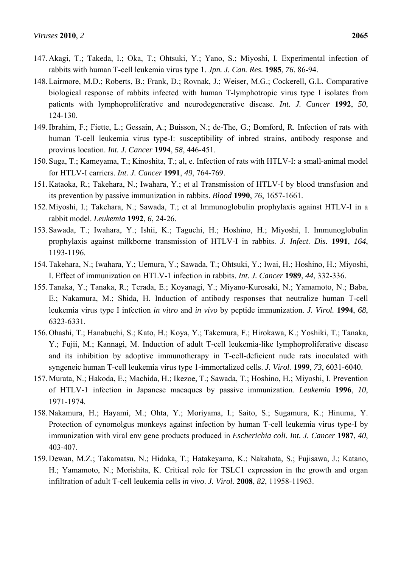- 147. Akagi, T.; Takeda, I.; Oka, T.; Ohtsuki, Y.; Yano, S.; Miyoshi, I. Experimental infection of rabbits with human T-cell leukemia virus type 1. *Jpn. J. Can. Res.* **1985**, *76*, 86-94.
- 148. Lairmore, M.D.; Roberts, B.; Frank, D.; Rovnak, J.; Weiser, M.G.; Cockerell, G.L. Comparative biological response of rabbits infected with human T-lymphotropic virus type I isolates from patients with lymphoproliferative and neurodegenerative disease. *Int. J. Cancer* **1992**, *50*, 124-130.
- 149. Ibrahim, F.; Fiette, L.; Gessain, A.; Buisson, N.; de-The, G.; Bomford, R. Infection of rats with human T-cell leukemia virus type-I: susceptibility of inbred strains, antibody response and provirus location. *Int. J. Cancer* **1994**, *58*, 446-451.
- 150. Suga, T.; Kameyama, T.; Kinoshita, T.; al, e. Infection of rats with HTLV-I: a small-animal model for HTLV-I carriers. *Int. J. Cancer* **1991**, *49*, 764-769.
- 151. Kataoka, R.; Takehara, N.; Iwahara, Y.; et al Transmission of HTLV-I by blood transfusion and its prevention by passive immunization in rabbits. *Blood* **1990**, *76*, 1657-1661.
- 152. Miyoshi, I.; Takehara, N.; Sawada, T.; et al Immunoglobulin prophylaxis against HTLV-I in a rabbit model. *Leukemia* **1992**, *6*, 24-26.
- 153. Sawada, T.; Iwahara, Y.; Ishii, K.; Taguchi, H.; Hoshino, H.; Miyoshi, I. Immunoglobulin prophylaxis against milkborne transmission of HTLV-I in rabbits. *J. Infect. Dis.* **1991**, *164*, 1193-1196.
- 154. Takehara, N.; Iwahara, Y.; Uemura, Y.; Sawada, T.; Ohtsuki, Y.; Iwai, H.; Hoshino, H.; Miyoshi, I. Effect of immunization on HTLV-1 infection in rabbits. *Int. J. Cancer* **1989**, *44*, 332-336.
- 155. Tanaka, Y.; Tanaka, R.; Terada, E.; Koyanagi, Y.; Miyano-Kurosaki, N.; Yamamoto, N.; Baba, E.; Nakamura, M.; Shida, H. Induction of antibody responses that neutralize human T-cell leukemia virus type I infection *in vitro* and *in vivo* by peptide immunization. *J. Virol.* **1994**, *68*, 6323-6331.
- 156. Ohashi, T.; Hanabuchi, S.; Kato, H.; Koya, Y.; Takemura, F.; Hirokawa, K.; Yoshiki, T.; Tanaka, Y.; Fujii, M.; Kannagi, M. Induction of adult T-cell leukemia-like lymphoproliferative disease and its inhibition by adoptive immunotherapy in T-cell-deficient nude rats inoculated with syngeneic human T-cell leukemia virus type 1-immortalized cells. *J. Virol.* **1999**, *73*, 6031-6040.
- 157. Murata, N.; Hakoda, E.; Machida, H.; Ikezoe, T.; Sawada, T.; Hoshino, H.; Miyoshi, I. Prevention of HTLV-1 infection in Japanese macaques by passive immunization. *Leukemia* **1996**, *10*, 1971-1974.
- 158. Nakamura, H.; Hayami, M.; Ohta, Y.; Moriyama, I.; Saito, S.; Sugamura, K.; Hinuma, Y. Protection of cynomolgus monkeys against infection by human T-cell leukemia virus type-I by immunization with viral env gene products produced in *Escherichia coli*. *Int. J. Cancer* **1987**, *40*, 403-407.
- 159. Dewan, M.Z.; Takamatsu, N.; Hidaka, T.; Hatakeyama, K.; Nakahata, S.; Fujisawa, J.; Katano, H.; Yamamoto, N.; Morishita, K. Critical role for TSLC1 expression in the growth and organ infiltration of adult T-cell leukemia cells *in vivo*. *J. Virol.* **2008**, *82*, 11958-11963.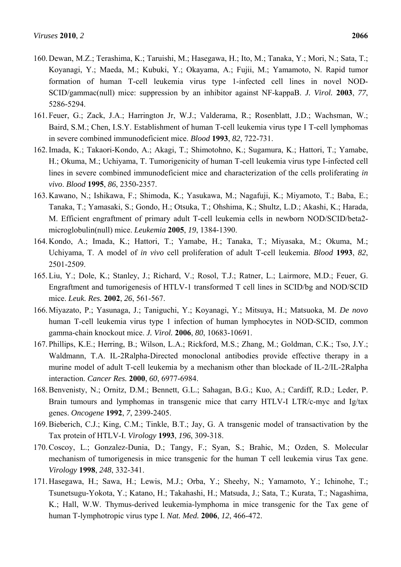- 160. Dewan, M.Z.; Terashima, K.; Taruishi, M.; Hasegawa, H.; Ito, M.; Tanaka, Y.; Mori, N.; Sata, T.; Koyanagi, Y.; Maeda, M.; Kubuki, Y.; Okayama, A.; Fujii, M.; Yamamoto, N. Rapid tumor formation of human T-cell leukemia virus type 1-infected cell lines in novel NOD-SCID/gammac(null) mice: suppression by an inhibitor against NF-kappaB. *J. Virol.* **2003**, *77*, 5286-5294.
- 161. Feuer, G.; Zack, J.A.; Harrington Jr, W.J.; Valderama, R.; Rosenblatt, J.D.; Wachsman, W.; Baird, S.M.; Chen, I.S.Y. Establishment of human T-cell leukemia virus type I T-cell lymphomas in severe combined immunodeficient mice. *Blood* **1993**, *82*, 722-731.
- 162. Imada, K.; Takaori-Kondo, A.; Akagi, T.; Shimotohno, K.; Sugamura, K.; Hattori, T.; Yamabe, H.; Okuma, M.; Uchiyama, T. Tumorigenicity of human T-cell leukemia virus type I-infected cell lines in severe combined immunodeficient mice and characterization of the cells proliferating *in vivo*. *Blood* **1995**, *86*, 2350-2357.
- 163. Kawano, N.; Ishikawa, F.; Shimoda, K.; Yasukawa, M.; Nagafuji, K.; Miyamoto, T.; Baba, E.; Tanaka, T.; Yamasaki, S.; Gondo, H.; Otsuka, T.; Ohshima, K.; Shultz, L.D.; Akashi, K.; Harada, M. Efficient engraftment of primary adult T-cell leukemia cells in newborn NOD/SCID/beta2 microglobulin(null) mice. *Leukemia* **2005**, *19*, 1384-1390.
- 164. Kondo, A.; Imada, K.; Hattori, T.; Yamabe, H.; Tanaka, T.; Miyasaka, M.; Okuma, M.; Uchiyama, T. A model of *in vivo* cell proliferation of adult T-cell leukemia. *Blood* **1993**, *82*, 2501-2509.
- 165. Liu, Y.; Dole, K.; Stanley, J.; Richard, V.; Rosol, T.J.; Ratner, L.; Lairmore, M.D.; Feuer, G. Engraftment and tumorigenesis of HTLV-1 transformed T cell lines in SCID/bg and NOD/SCID mice. *Leuk. Res.* **2002**, *26*, 561-567.
- 166. Miyazato, P.; Yasunaga, J.; Taniguchi, Y.; Koyanagi, Y.; Mitsuya, H.; Matsuoka, M. *De novo* human T-cell leukemia virus type 1 infection of human lymphocytes in NOD-SCID, common gamma-chain knockout mice. *J. Virol.* **2006**, *80*, 10683-10691.
- 167. Phillips, K.E.; Herring, B.; Wilson, L.A.; Rickford, M.S.; Zhang, M.; Goldman, C.K.; Tso, J.Y.; Waldmann, T.A. IL-2Ralpha-Directed monoclonal antibodies provide effective therapy in a murine model of adult T-cell leukemia by a mechanism other than blockade of IL-2/IL-2Ralpha interaction. *Cancer Res.* **2000**, *60*, 6977-6984.
- 168. Benvenisty, N.; Ornitz, D.M.; Bennett, G.L.; Sahagan, B.G.; Kuo, A.; Cardiff, R.D.; Leder, P. Brain tumours and lymphomas in transgenic mice that carry HTLV-I LTR/c-myc and Ig/tax genes. *Oncogene* **1992**, *7*, 2399-2405.
- 169. Bieberich, C.J.; King, C.M.; Tinkle, B.T.; Jay, G. A transgenic model of transactivation by the Tax protein of HTLV-I. *Virology* **1993**, *196*, 309-318.
- 170. Coscoy, L.; Gonzalez-Dunia, D.; Tangy, F.; Syan, S.; Brahic, M.; Ozden, S. Molecular mechanism of tumorigenesis in mice transgenic for the human T cell leukemia virus Tax gene. *Virology* **1998**, *248*, 332-341.
- 171. Hasegawa, H.; Sawa, H.; Lewis, M.J.; Orba, Y.; Sheehy, N.; Yamamoto, Y.; Ichinohe, T.; Tsunetsugu-Yokota, Y.; Katano, H.; Takahashi, H.; Matsuda, J.; Sata, T.; Kurata, T.; Nagashima, K.; Hall, W.W. Thymus-derived leukemia-lymphoma in mice transgenic for the Tax gene of human T-lymphotropic virus type I. *Nat. Med.* **2006**, *12*, 466-472.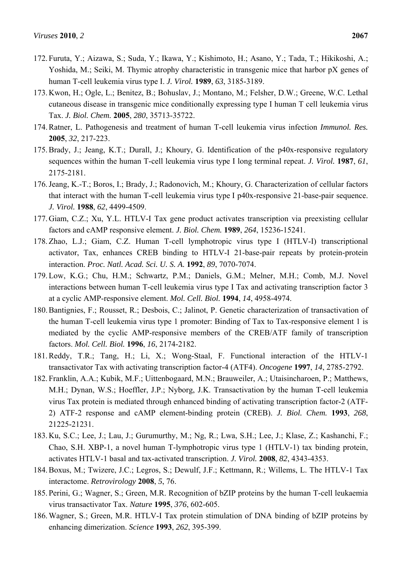- 172. Furuta, Y.; Aizawa, S.; Suda, Y.; Ikawa, Y.; Kishimoto, H.; Asano, Y.; Tada, T.; Hikikoshi, A.; Yoshida, M.; Seiki, M. Thymic atrophy characteristic in transgenic mice that harbor pX genes of human T-cell leukemia virus type I. *J. Virol.* **1989**, *63*, 3185-3189.
- 173. Kwon, H.; Ogle, L.; Benitez, B.; Bohuslav, J.; Montano, M.; Felsher, D.W.; Greene, W.C. Lethal cutaneous disease in transgenic mice conditionally expressing type I human T cell leukemia virus Tax. *J. Biol. Chem.* **2005**, *280*, 35713-35722.
- 174. Ratner, L. Pathogenesis and treatment of human T-cell leukemia virus infection *Immunol. Res.*  **2005**, *32*, 217-223.
- 175. Brady, J.; Jeang, K.T.; Durall, J.; Khoury, G. Identification of the p40x-responsive regulatory sequences within the human T-cell leukemia virus type I long terminal repeat. *J. Virol.* **1987**, *61*, 2175-2181.
- 176. Jeang, K.-T.; Boros, I.; Brady, J.; Radonovich, M.; Khoury, G. Characterization of cellular factors that interact with the human T-cell leukemia virus type I p40x-responsive 21-base-pair sequence. *J. Virol.* **1988**, *62*, 4499-4509.
- 177. Giam, C.Z.; Xu, Y.L. HTLV-I Tax gene product activates transcription via preexisting cellular factors and cAMP responsive element. *J. Biol. Chem.* **1989**, *264*, 15236-15241.
- 178. Zhao, L.J.; Giam, C.Z. Human T-cell lymphotropic virus type I (HTLV-I) transcriptional activator, Tax, enhances CREB binding to HTLV-I 21-base-pair repeats by protein-protein interaction. *Proc. Natl. Acad. Sci. U. S. A.* **1992**, *89*, 7070-7074.
- 179. Low, K.G.; Chu, H.M.; Schwartz, P.M.; Daniels, G.M.; Melner, M.H.; Comb, M.J. Novel interactions between human T-cell leukemia virus type I Tax and activating transcription factor 3 at a cyclic AMP-responsive element. *Mol. Cell. Biol.* **1994**, *14*, 4958-4974.
- 180. Bantignies, F.; Rousset, R.; Desbois, C.; Jalinot, P. Genetic characterization of transactivation of the human T-cell leukemia virus type 1 promoter: Binding of Tax to Tax-responsive element 1 is mediated by the cyclic AMP-responsive members of the CREB/ATF family of transcription factors. *Mol. Cell. Biol.* **1996**, *16*, 2174-2182.
- 181. Reddy, T.R.; Tang, H.; Li, X.; Wong-Staal, F. Functional interaction of the HTLV-1 transactivator Tax with activating transcription factor-4 (ATF4). *Oncogene* **1997**, *14*, 2785-2792.
- 182. Franklin, A.A.; Kubik, M.F.; Uittenbogaard, M.N.; Brauweiler, A.; Utaisincharoen, P.; Matthews, M.H.; Dynan, W.S.; Hoeffler, J.P.; Nyborg, J.K. Transactivation by the human T-cell leukemia virus Tax protein is mediated through enhanced binding of activating transcription factor-2 (ATF-2) ATF-2 response and cAMP element-binding protein (CREB). *J. Biol. Chem.* **1993**, *268*, 21225-21231.
- 183. Ku, S.C.; Lee, J.; Lau, J.; Gurumurthy, M.; Ng, R.; Lwa, S.H.; Lee, J.; Klase, Z.; Kashanchi, F.; Chao, S.H. XBP-1, a novel human T-lymphotropic virus type 1 (HTLV-1) tax binding protein, activates HTLV-1 basal and tax-activated transcription. *J. Virol.* **2008**, *82*, 4343-4353.
- 184. Boxus, M.; Twizere, J.C.; Legros, S.; Dewulf, J.F.; Kettmann, R.; Willems, L. The HTLV-1 Tax interactome. *Retrovirology* **2008**, *5*, 76.
- 185. Perini, G.; Wagner, S.; Green, M.R. Recognition of bZIP proteins by the human T-cell leukaemia virus transactivator Tax. *Nature* **1995**, *376*, 602-605.
- 186. Wagner, S.; Green, M.R. HTLV-I Tax protein stimulation of DNA binding of bZIP proteins by enhancing dimerization. *Science* **1993**, *262*, 395-399.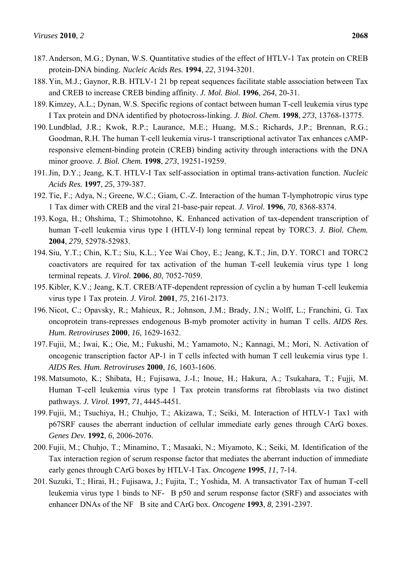- 187. Anderson, M.G.; Dynan, W.S. Quantitative studies of the effect of HTLV-1 Tax protein on CREB protein-DNA binding. *Nucleic Acids Res.* **1994**, *22*, 3194-3201.
- 188. Yin, M.J.; Gaynor, R.B. HTLV-1 21 bp repeat sequences facilitate stable association between Tax and CREB to increase CREB binding affinity. *J. Mol. Biol.* **1996**, *264*, 20-31.
- 189. Kimzey, A.L.; Dynan, W.S. Specific regions of contact between human T-cell leukemia virus type I Tax protein and DNA identified by photocross-linking. *J. Biol. Chem.* **1998**, *273*, 13768-13775.
- 190. Lundblad, J.R.; Kwok, R.P.; Laurance, M.E.; Huang, M.S.; Richards, J.P.; Brennan, R.G.; Goodman, R.H. The human T-cell leukemia virus-1 transcriptional activator Tax enhances cAMPresponsive element-binding protein (CREB) binding activity through interactions with the DNA minor groove. *J. Biol. Chem.* **1998**, *273*, 19251-19259.
- 191. Jin, D.Y.; Jeang, K.T. HTLV-I Tax self-association in optimal trans-activation function. *Nucleic Acids Res.* **1997**, *25*, 379-387.
- 192. Tie, F.; Adya, N.; Greene, W.C.; Giam, C.-Z. Interaction of the human T-lymphotropic virus type 1 Tax dimer with CREB and the viral 21-base-pair repeat. *J. Virol.* **1996**, *70*, 8368-8374.
- 193. Koga, H.; Ohshima, T.; Shimotohno, K. Enhanced activation of tax-dependent transcription of human T-cell leukemia virus type I (HTLV-I) long terminal repeat by TORC3. *J. Biol. Chem.*  **2004**, *279*, 52978-52983.
- 194. Siu, Y.T.; Chin, K.T.; Siu, K.L.; Yee Wai Choy, E.; Jeang, K.T.; Jin, D.Y. TORC1 and TORC2 coactivators are required for tax activation of the human T-cell leukemia virus type 1 long terminal repeats. *J. Virol.* **2006**, *80*, 7052-7059.
- 195. Kibler, K.V.; Jeang, K.T. CREB/ATF-dependent repression of cyclin a by human T-cell leukemia virus type 1 Tax protein. *J. Virol.* **2001**, *75*, 2161-2173.
- 196. Nicot, C.; Opavsky, R.; Mahieux, R.; Johnson, J.M.; Brady, J.N.; Wolff, L.; Franchini, G. Tax oncoprotein trans-represses endogenous B-myb promoter activity in human T cells. *AIDS Res. Hum. Retroviruses* **2000**, *16*, 1629-1632.
- 197. Fujii, M.; Iwai, K.; Oie, M.; Fukushi, M.; Yamamoto, N.; Kannagi, M.; Mori, N. Activation of oncogenic transcription factor AP-1 in T cells infected with human T cell leukemia virus type 1. *AIDS Res. Hum. Retroviruses* **2000**, *16*, 1603-1606.
- 198. Matsumoto, K.; Shibata, H.; Fujisawa, J.-I.; Inoue, H.; Hakura, A.; Tsukahara, T.; Fujji, M. Human T-cell leukemia virus type 1 Tax protein transforms rat fibroblasts via two distinct pathways. *J. Virol.* **1997**, *71*, 4445-4451.
- 199. Fujii, M.; Tsuchiya, H.; Chuhjo, T.; Akizawa, T.; Seiki, M. Interaction of HTLV-1 Tax1 with p67SRF causes the aberrant induction of cellular immediate early genes through CArG boxes. *Genes Dev.* **1992**, *6*, 2006-2076.
- 200. Fujii, M.; Chuhjo, T.; Minamino, T.; Masaaki, N.; Miyamoto, K.; Seiki, M. Identification of the Tax interaction region of serum response factor that mediates the aberrant induction of immediate early genes through CArG boxes by HTLV-I Tax. *Oncogene* **1995**, *11*, 7-14.
- 201. Suzuki, T.; Hirai, H.; Fujisawa, J.; Fujita, T.; Yoshida, M. A transactivator Tax of human T-cell leukemia virus type 1 binds to NF-B p50 and serum response factor (SRF) and associates with enhancer DNAs of the NF B site and CArG box. *Oncogene* **1993**, *8*, 2391-2397.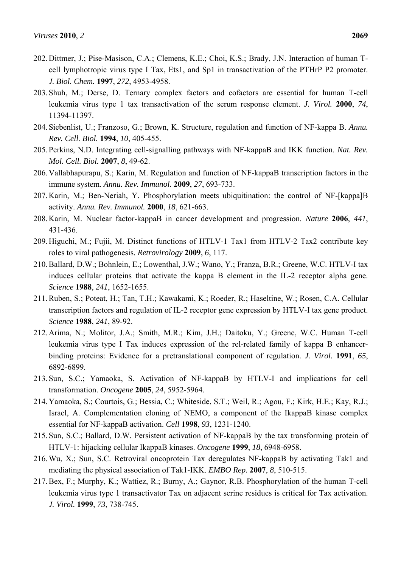- 202. Dittmer, J.; Pise-Masison, C.A.; Clemens, K.E.; Choi, K.S.; Brady, J.N. Interaction of human Tcell lymphotropic virus type I Tax, Ets1, and Sp1 in transactivation of the PTHrP P2 promoter. *J. Biol. Chem.* **1997**, *272*, 4953-4958.
- 203. Shuh, M.; Derse, D. Ternary complex factors and cofactors are essential for human T-cell leukemia virus type 1 tax transactivation of the serum response element. *J. Virol.* **2000**, *74*, 11394-11397.
- 204. Siebenlist, U.; Franzoso, G.; Brown, K. Structure, regulation and function of NF-kappa B. *Annu. Rev. Cell. Biol.* **1994**, *10*, 405-455.
- 205. Perkins, N.D. Integrating cell-signalling pathways with NF-kappaB and IKK function. *Nat. Rev. Mol. Cell. Biol.* **2007**, *8*, 49-62.
- 206. Vallabhapurapu, S.; Karin, M. Regulation and function of NF-kappaB transcription factors in the immune system. *Annu. Rev. Immunol.* **2009**, *27*, 693-733.
- 207. Karin, M.; Ben-Neriah, Y. Phosphorylation meets ubiquitination: the control of NF-[kappa]B activity. *Annu. Rev. Immunol.* **2000**, *18*, 621-663.
- 208. Karin, M. Nuclear factor-kappaB in cancer development and progression. *Nature* **2006**, *441*, 431-436.
- 209. Higuchi, M.; Fujii, M. Distinct functions of HTLV-1 Tax1 from HTLV-2 Tax2 contribute key roles to viral pathogenesis. *Retrovirology* **2009**, *6*, 117.
- 210. Ballard, D.W.; Bohnlein, E.; Lowenthal, J.W.; Wano, Y.; Franza, B.R.; Greene, W.C. HTLV-I tax induces cellular proteins that activate the kappa B element in the IL-2 receptor alpha gene. *Science* **1988**, *241*, 1652-1655.
- 211. Ruben, S.; Poteat, H.; Tan, T.H.; Kawakami, K.; Roeder, R.; Haseltine, W.; Rosen, C.A. Cellular transcription factors and regulation of IL-2 receptor gene expression by HTLV-I tax gene product. *Science* **1988**, *241*, 89-92.
- 212. Arima, N.; Molitor, J.A.; Smith, M.R.; Kim, J.H.; Daitoku, Y.; Greene, W.C. Human T-cell leukemia virus type I Tax induces expression of the rel-related family of kappa B enhancerbinding proteins: Evidence for a pretranslational component of regulation. *J. Virol.* **1991**, *65*, 6892-6899.
- 213. Sun, S.C.; Yamaoka, S. Activation of NF-kappaB by HTLV-I and implications for cell transformation. *Oncogene* **2005**, *24*, 5952-5964.
- 214. Yamaoka, S.; Courtois, G.; Bessia, C.; Whiteside, S.T.; Weil, R.; Agou, F.; Kirk, H.E.; Kay, R.J.; Israel, A. Complementation cloning of NEMO, a component of the IkappaB kinase complex essential for NF-kappaB activation. *Cell* **1998**, *93*, 1231-1240.
- 215. Sun, S.C.; Ballard, D.W. Persistent activation of NF-kappaB by the tax transforming protein of HTLV-1: hijacking cellular IkappaB kinases. *Oncogene* **1999**, *18*, 6948-6958.
- 216. Wu, X.; Sun, S.C. Retroviral oncoprotein Tax deregulates NF-kappaB by activating Tak1 and mediating the physical association of Tak1-IKK. *EMBO Rep.* **2007**, *8*, 510-515.
- 217. Bex, F.; Murphy, K.; Wattiez, R.; Burny, A.; Gaynor, R.B. Phosphorylation of the human T-cell leukemia virus type 1 transactivator Tax on adjacent serine residues is critical for Tax activation. *J. Virol.* **1999**, *73*, 738-745.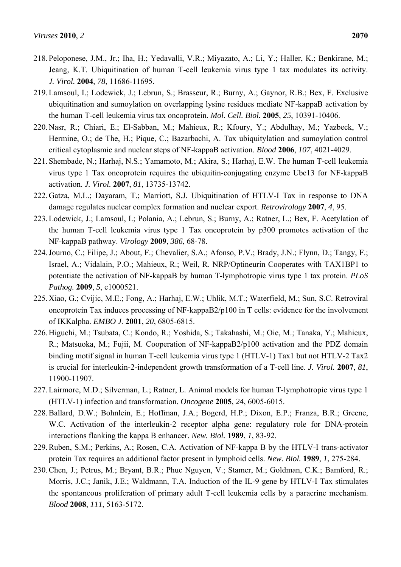- 218. Peloponese, J.M., Jr.; Iha, H.; Yedavalli, V.R.; Miyazato, A.; Li, Y.; Haller, K.; Benkirane, M.; Jeang, K.T. Ubiquitination of human T-cell leukemia virus type 1 tax modulates its activity. *J. Virol.* **2004**, *78*, 11686-11695.
- 219. Lamsoul, I.; Lodewick, J.; Lebrun, S.; Brasseur, R.; Burny, A.; Gaynor, R.B.; Bex, F. Exclusive ubiquitination and sumoylation on overlapping lysine residues mediate NF-kappaB activation by the human T-cell leukemia virus tax oncoprotein. *Mol. Cell. Biol.* **2005**, *25*, 10391-10406.
- 220. Nasr, R.; Chiari, E.; El-Sabban, M.; Mahieux, R.; Kfoury, Y.; Abdulhay, M.; Yazbeck, V.; Hermine, O.; de The, H.; Pique, C.; Bazarbachi, A. Tax ubiquitylation and sumoylation control critical cytoplasmic and nuclear steps of NF-kappaB activation. *Blood* **2006**, *107*, 4021-4029.
- 221. Shembade, N.; Harhaj, N.S.; Yamamoto, M.; Akira, S.; Harhaj, E.W. The human T-cell leukemia virus type 1 Tax oncoprotein requires the ubiquitin-conjugating enzyme Ubc13 for NF-kappaB activation. *J. Virol.* **2007**, *81*, 13735-13742.
- 222. Gatza, M.L.; Dayaram, T.; Marriott, S.J. Ubiquitination of HTLV-I Tax in response to DNA damage regulates nuclear complex formation and nuclear export. *Retrovirology* **2007**, *4*, 95.
- 223. Lodewick, J.; Lamsoul, I.; Polania, A.; Lebrun, S.; Burny, A.; Ratner, L.; Bex, F. Acetylation of the human T-cell leukemia virus type 1 Tax oncoprotein by p300 promotes activation of the NF-kappaB pathway. *Virology* **2009**, *386*, 68-78.
- 224. Journo, C.; Filipe, J.; About, F.; Chevalier, S.A.; Afonso, P.V.; Brady, J.N.; Flynn, D.; Tangy, F.; Israel, A.; Vidalain, P.O.; Mahieux, R.; Weil, R. NRP/Optineurin Cooperates with TAX1BP1 to potentiate the activation of NF-kappaB by human T-lymphotropic virus type 1 tax protein. *PLoS Pathog.* **2009**, *5*, e1000521.
- 225. Xiao, G.; Cvijic, M.E.; Fong, A.; Harhaj, E.W.; Uhlik, M.T.; Waterfield, M.; Sun, S.C. Retroviral oncoprotein Tax induces processing of NF-kappaB2/p100 in T cells: evidence for the involvement of IKKalpha. *EMBO J.* **2001**, *20*, 6805-6815.
- 226. Higuchi, M.; Tsubata, C.; Kondo, R.; Yoshida, S.; Takahashi, M.; Oie, M.; Tanaka, Y.; Mahieux, R.; Matsuoka, M.; Fujii, M. Cooperation of NF-kappaB2/p100 activation and the PDZ domain binding motif signal in human T-cell leukemia virus type 1 (HTLV-1) Tax1 but not HTLV-2 Tax2 is crucial for interleukin-2-independent growth transformation of a T-cell line. *J. Virol.* **2007**, *81*, 11900-11907.
- 227. Lairmore, M.D.; Silverman, L.; Ratner, L. Animal models for human T-lymphotropic virus type 1 (HTLV-1) infection and transformation. *Oncogene* **2005**, *24*, 6005-6015.
- 228. Ballard, D.W.; Bohnlein, E.; Hoffman, J.A.; Bogerd, H.P.; Dixon, E.P.; Franza, B.R.; Greene, W.C. Activation of the interleukin-2 receptor alpha gene: regulatory role for DNA-protein interactions flanking the kappa B enhancer. *New. Biol.* **1989**, *1*, 83-92.
- 229. Ruben, S.M.; Perkins, A.; Rosen, C.A. Activation of NF-kappa B by the HTLV-I trans-activator protein Tax requires an additional factor present in lymphoid cells. *New. Biol.* **1989**, *1*, 275-284.
- 230. Chen, J.; Petrus, M.; Bryant, B.R.; Phuc Nguyen, V.; Stamer, M.; Goldman, C.K.; Bamford, R.; Morris, J.C.; Janik, J.E.; Waldmann, T.A. Induction of the IL-9 gene by HTLV-I Tax stimulates the spontaneous proliferation of primary adult T-cell leukemia cells by a paracrine mechanism. *Blood* **2008**, *111*, 5163-5172.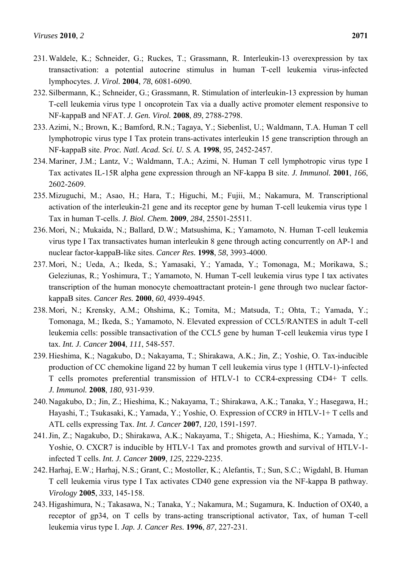- 231. Waldele, K.; Schneider, G.; Ruckes, T.; Grassmann, R. Interleukin-13 overexpression by tax transactivation: a potential autocrine stimulus in human T-cell leukemia virus-infected lymphocytes. *J. Virol.* **2004**, *78*, 6081-6090.
- 232. Silbermann, K.; Schneider, G.; Grassmann, R. Stimulation of interleukin-13 expression by human T-cell leukemia virus type 1 oncoprotein Tax via a dually active promoter element responsive to NF-kappaB and NFAT. *J. Gen. Virol.* **2008**, *89*, 2788-2798.
- 233. Azimi, N.; Brown, K.; Bamford, R.N.; Tagaya, Y.; Siebenlist, U.; Waldmann, T.A. Human T cell lymphotropic virus type I Tax protein trans-activates interleukin 15 gene transcription through an NF-kappaB site. *Proc. Natl. Acad. Sci. U. S. A.* **1998**, *95*, 2452-2457.
- 234. Mariner, J.M.; Lantz, V.; Waldmann, T.A.; Azimi, N. Human T cell lymphotropic virus type I Tax activates IL-15R alpha gene expression through an NF-kappa B site. *J. Immunol.* **2001**, *166*, 2602-2609.
- 235. Mizuguchi, M.; Asao, H.; Hara, T.; Higuchi, M.; Fujii, M.; Nakamura, M. Transcriptional activation of the interleukin-21 gene and its receptor gene by human T-cell leukemia virus type 1 Tax in human T-cells. *J. Biol. Chem.* **2009**, *284*, 25501-25511.
- 236. Mori, N.; Mukaida, N.; Ballard, D.W.; Matsushima, K.; Yamamoto, N. Human T-cell leukemia virus type I Tax transactivates human interleukin 8 gene through acting concurrently on AP-1 and nuclear factor-kappaB-like sites. *Cancer Res.* **1998**, *58*, 3993-4000.
- 237. Mori, N.; Ueda, A.; Ikeda, S.; Yamasaki, Y.; Yamada, Y.; Tomonaga, M.; Morikawa, S.; Geleziunas, R.; Yoshimura, T.; Yamamoto, N. Human T-cell leukemia virus type I tax activates transcription of the human monocyte chemoattractant protein-1 gene through two nuclear factorkappaB sites. *Cancer Res.* **2000**, *60*, 4939-4945.
- 238. Mori, N.; Krensky, A.M.; Ohshima, K.; Tomita, M.; Matsuda, T.; Ohta, T.; Yamada, Y.; Tomonaga, M.; Ikeda, S.; Yamamoto, N. Elevated expression of CCL5/RANTES in adult T-cell leukemia cells: possible transactivation of the CCL5 gene by human T-cell leukemia virus type I tax. *Int. J. Cancer* **2004**, *111*, 548-557.
- 239. Hieshima, K.; Nagakubo, D.; Nakayama, T.; Shirakawa, A.K.; Jin, Z.; Yoshie, O. Tax-inducible production of CC chemokine ligand 22 by human T cell leukemia virus type 1 (HTLV-1)-infected T cells promotes preferential transmission of HTLV-1 to CCR4-expressing CD4+ T cells. *J. Immunol.* **2008**, *180*, 931-939.
- 240. Nagakubo, D.; Jin, Z.; Hieshima, K.; Nakayama, T.; Shirakawa, A.K.; Tanaka, Y.; Hasegawa, H.; Hayashi, T.; Tsukasaki, K.; Yamada, Y.; Yoshie, O. Expression of CCR9 in HTLV-1+ T cells and ATL cells expressing Tax. *Int. J. Cancer* **2007**, *120*, 1591-1597.
- 241. Jin, Z.; Nagakubo, D.; Shirakawa, A.K.; Nakayama, T.; Shigeta, A.; Hieshima, K.; Yamada, Y.; Yoshie, O. CXCR7 is inducible by HTLV-1 Tax and promotes growth and survival of HTLV-1 infected T cells. *Int. J. Cancer* **2009**, *125*, 2229-2235.
- 242. Harhaj, E.W.; Harhaj, N.S.; Grant, C.; Mostoller, K.; Alefantis, T.; Sun, S.C.; Wigdahl, B. Human T cell leukemia virus type I Tax activates CD40 gene expression via the NF-kappa B pathway. *Virology* **2005**, *333*, 145-158.
- 243. Higashimura, N.; Takasawa, N.; Tanaka, Y.; Nakamura, M.; Sugamura, K. Induction of OX40, a receptor of gp34, on T cells by trans-acting transcriptional activator, Tax, of human T-cell leukemia virus type I. *Jap. J. Cancer Res.* **1996**, *87*, 227-231.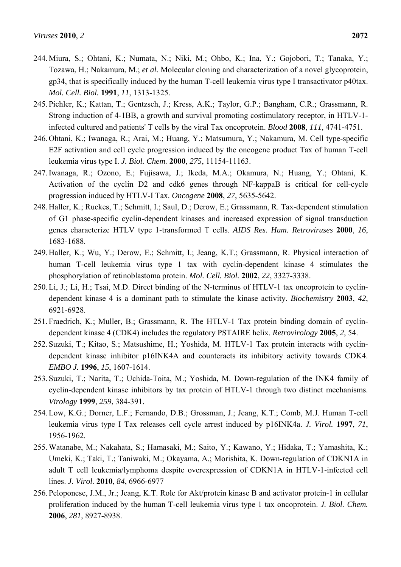- 244. Miura, S.; Ohtani, K.; Numata, N.; Niki, M.; Ohbo, K.; Ina, Y.; Gojobori, T.; Tanaka, Y.; Tozawa, H.; Nakamura, M.; *et al.* Molecular cloning and characterization of a novel glycoprotein, gp34, that is specifically induced by the human T-cell leukemia virus type I transactivator p40tax. *Mol. Cell. Biol.* **1991**, *11*, 1313-1325.
- 245. Pichler, K.; Kattan, T.; Gentzsch, J.; Kress, A.K.; Taylor, G.P.; Bangham, C.R.; Grassmann, R. Strong induction of 4-1BB, a growth and survival promoting costimulatory receptor, in HTLV-1 infected cultured and patients' T cells by the viral Tax oncoprotein. *Blood* **2008**, *111*, 4741-4751.
- 246. Ohtani, K.; Iwanaga, R.; Arai, M.; Huang, Y.; Matsumura, Y.; Nakamura, M. Cell type-specific E2F activation and cell cycle progression induced by the oncogene product Tax of human T-cell leukemia virus type I. *J. Biol. Chem.* **2000**, *275*, 11154-11163.
- 247. Iwanaga, R.; Ozono, E.; Fujisawa, J.; Ikeda, M.A.; Okamura, N.; Huang, Y.; Ohtani, K. Activation of the cyclin D2 and cdk6 genes through NF-kappaB is critical for cell-cycle progression induced by HTLV-I Tax. *Oncogene* **2008**, *27*, 5635-5642.
- 248. Haller, K.; Ruckes, T.; Schmitt, I.; Saul, D.; Derow, E.; Grassmann, R. Tax-dependent stimulation of G1 phase-specific cyclin-dependent kinases and increased expression of signal transduction genes characterize HTLV type 1-transformed T cells. *AIDS Res. Hum. Retroviruses* **2000**, *16*, 1683-1688.
- 249. Haller, K.; Wu, Y.; Derow, E.; Schmitt, I.; Jeang, K.T.; Grassmann, R. Physical interaction of human T-cell leukemia virus type 1 tax with cyclin-dependent kinase 4 stimulates the phosphorylation of retinoblastoma protein. *Mol. Cell. Biol.* **2002**, *22*, 3327-3338.
- 250. Li, J.; Li, H.; Tsai, M.D. Direct binding of the N-terminus of HTLV-1 tax oncoprotein to cyclindependent kinase 4 is a dominant path to stimulate the kinase activity. *Biochemistry* **2003**, *42*, 6921-6928.
- 251. Fraedrich, K.; Muller, B.; Grassmann, R. The HTLV-1 Tax protein binding domain of cyclindependent kinase 4 (CDK4) includes the regulatory PSTAIRE helix. *Retrovirology* **2005**, *2*, 54.
- 252. Suzuki, T.; Kitao, S.; Matsushime, H.; Yoshida, M. HTLV-1 Tax protein interacts with cyclindependent kinase inhibitor p16INK4A and counteracts its inhibitory activity towards CDK4. *EMBO J.* **1996**, *15*, 1607-1614.
- 253. Suzuki, T.; Narita, T.; Uchida-Toita, M.; Yoshida, M. Down-regulation of the INK4 family of cyclin-dependent kinase inhibitors by tax protein of HTLV-1 through two distinct mechanisms. *Virology* **1999**, *259*, 384-391.
- 254. Low, K.G.; Dorner, L.F.; Fernando, D.B.; Grossman, J.; Jeang, K.T.; Comb, M.J. Human T-cell leukemia virus type I Tax releases cell cycle arrest induced by p16INK4a. *J. Virol.* **1997**, *71*, 1956-1962.
- 255. Watanabe, M.; Nakahata, S.; Hamasaki, M.; Saito, Y.; Kawano, Y.; Hidaka, T.; Yamashita, K.; Umeki, K.; Taki, T.; Taniwaki, M.; Okayama, A.; Morishita, K. Down-regulation of CDKN1A in adult T cell leukemia/lymphoma despite overexpression of CDKN1A in HTLV-1-infected cell lines. *J. Virol*. **2010**, *84*, 6966-6977
- 256. Peloponese, J.M., Jr.; Jeang, K.T. Role for Akt/protein kinase B and activator protein-1 in cellular proliferation induced by the human T-cell leukemia virus type 1 tax oncoprotein. *J. Biol. Chem.*  **2006**, *281*, 8927-8938.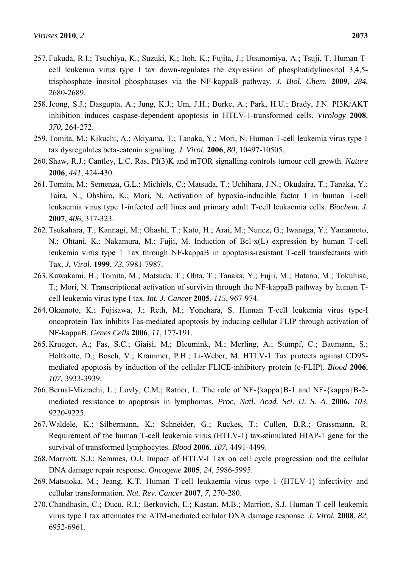- 257. Fukuda, R.I.; Tsuchiya, K.; Suzuki, K.; Itoh, K.; Fujita, J.; Utsunomiya, A.; Tsuji, T. Human Tcell leukemia virus type I tax down-regulates the expression of phosphatidylinositol 3,4,5 trisphosphate inositol phosphatases via the NF-kappaB pathway. *J. Biol. Chem.* **2009**, *284*, 2680-2689.
- 258. Jeong, S.J.; Dasgupta, A.; Jung, K.J.; Um, J.H.; Burke, A.; Park, H.U.; Brady, J.N. PI3K/AKT inhibition induces caspase-dependent apoptosis in HTLV-1-transformed cells. *Virology* **2008**, *370*, 264-272.
- 259. Tomita, M.; Kikuchi, A.; Akiyama, T.; Tanaka, Y.; Mori, N. Human T-cell leukemia virus type 1 tax dysregulates beta-catenin signaling. *J. Virol.* **2006**, *80*, 10497-10505.
- 260. Shaw, R.J.; Cantley, L.C. Ras, PI(3)K and mTOR signalling controls tumour cell growth. *Nature*  **2006**, *441*, 424-430.
- 261. Tomita, M.; Semenza, G.L.; Michiels, C.; Matsuda, T.; Uchihara, J.N.; Okudaira, T.; Tanaka, Y.; Taira, N.; Ohshiro, K.; Mori, N. Activation of hypoxia-inducible factor 1 in human T-cell leukaemia virus type 1-infected cell lines and primary adult T-cell leukaemia cells. *Biochem. J.*  **2007**, *406*, 317-323.
- 262. Tsukahara, T.; Kannagi, M.; Ohashi, T.; Kato, H.; Arai, M.; Nunez, G.; Iwanaga, Y.; Yamamoto, N.; Ohtani, K.; Nakamura, M.; Fujii, M. Induction of Bcl-x(L) expression by human T-cell leukemia virus type 1 Tax through NF-kappaB in apoptosis-resistant T-cell transfectants with Tax. *J. Virol.* **1999**, *73*, 7981-7987.
- 263. Kawakami, H.; Tomita, M.; Matsuda, T.; Ohta, T.; Tanaka, Y.; Fujii, M.; Hatano, M.; Tokuhisa, T.; Mori, N. Transcriptional activation of survivin through the NF-kappaB pathway by human Tcell leukemia virus type I tax. *Int. J. Cancer* **2005**, *115*, 967-974.
- 264. Okamoto, K.; Fujisawa, J.; Reth, M.; Yonehara, S. Human T-cell leukemia virus type-I oncoprotein Tax inhibits Fas-mediated apoptosis by inducing cellular FLIP through activation of NF-kappaB. *Genes Cells* **2006**, *11*, 177-191.
- 265. Krueger, A.; Fas, S.C.; Giaisi, M.; Bleumink, M.; Merling, A.; Stumpf, C.; Baumann, S.; Holtkotte, D.; Bosch, V.; Krammer, P.H.; Li-Weber, M. HTLV-1 Tax protects against CD95 mediated apoptosis by induction of the cellular FLICE-inhibitory protein (c-FLIP). *Blood* **2006**, *107*, 3933-3939.
- 266. Bernal-Mizrachi, L.; Lovly, C.M.; Ratner, L. The role of NF-{kappa}B-1 and NF-{kappa}B-2mediated resistance to apoptosis in lymphomas. *Proc. Natl. Acad. Sci. U. S. A.* **2006**, *103*, 9220-9225.
- 267. Waldele, K.; Silbermann, K.; Schneider, G.; Ruckes, T.; Cullen, B.R.; Grassmann, R. Requirement of the human T-cell leukemia virus (HTLV-1) tax-stimulated HIAP-1 gene for the survival of transformed lymphocytes. *Blood* **2006**, *107*, 4491-4499.
- 268. Marriott, S.J.; Semmes, O.J. Impact of HTLV-I Tax on cell cycle progression and the cellular DNA damage repair response. *Oncogene* **2005**, *24*, 5986-5995.
- 269. Matsuoka, M.; Jeang, K.T. Human T-cell leukaemia virus type 1 (HTLV-1) infectivity and cellular transformation. *Nat. Rev. Cancer* **2007**, *7*, 270-280.
- 270. Chandhasin, C.; Ducu, R.I.; Berkovich, E.; Kastan, M.B.; Marriott, S.J. Human T-cell leukemia virus type 1 tax attenuates the ATM-mediated cellular DNA damage response. *J. Virol.* **2008**, *82*, 6952-6961.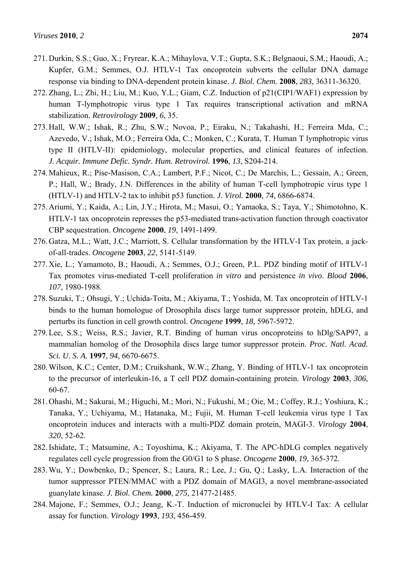- 271. Durkin, S.S.; Guo, X.; Fryrear, K.A.; Mihaylova, V.T.; Gupta, S.K.; Belgnaoui, S.M.; Haoudi, A.; Kupfer, G.M.; Semmes, O.J. HTLV-1 Tax oncoprotein subverts the cellular DNA damage response via binding to DNA-dependent protein kinase. *J. Biol. Chem.* **2008**, *283*, 36311-36320.
- 272. Zhang, L.; Zhi, H.; Liu, M.; Kuo, Y.L.; Giam, C.Z. Induction of p21(CIP1/WAF1) expression by human T-lymphotropic virus type 1 Tax requires transcriptional activation and mRNA stabilization. *Retrovirology* **2009**, *6*, 35.
- 273. Hall, W.W.; Ishak, R.; Zhu, S.W.; Novoa, P.; Eiraku, N.; Takahashi, H.; Ferreira Mda, C.; Azevedo, V.; Ishak, M.O.; Ferreira Oda, C.; Monken, C.; Kurata, T. Human T lymphotropic virus type II (HTLV-II): epidemiology, molecular properties, and clinical features of infection. *J. Acquir. Immune Defic. Syndr. Hum. Retrovirol.* **1996**, *13*, S204-214.
- 274. Mahieux, R.; Pise-Masison, C.A.; Lambert, P.F.; Nicot, C.; De Marchis, L.; Gessain, A.; Green, P.; Hall, W.; Brady, J.N. Differences in the ability of human T-cell lymphotropic virus type 1 (HTLV-1) and HTLV-2 tax to inhibit p53 function. *J. Virol.* **2000**, *74*, 6866-6874.
- 275. Ariumi, Y.; Kaida, A.; Lin, J.Y.; Hirota, M.; Masui, O.; Yamaoka, S.; Taya, Y.; Shimotohno, K. HTLV-1 tax oncoprotein represses the p53-mediated trans-activation function through coactivator CBP sequestration. *Oncogene* **2000**, *19*, 1491-1499.
- 276. Gatza, M.L.; Watt, J.C.; Marriott, S. Cellular transformation by the HTLV-I Tax protein, a jackof-all-trades. *Oncogene* **2003**, *22*, 5141-5149.
- 277. Xie, L.; Yamamoto, B.; Haoudi, A.; Semmes, O.J.; Green, P.L. PDZ binding motif of HTLV-1 Tax promotes virus-mediated T-cell proliferation *in vitro* and persistence *in vivo*. *Blood* **2006**, *107*, 1980-1988.
- 278. Suzuki, T.; Ohsugi, Y.; Uchida-Toita, M.; Akiyama, T.; Yoshida, M. Tax oncoprotein of HTLV-1 binds to the human homologue of Drosophila discs large tumor suppressor protein, hDLG, and perturbs its function in cell growth control. *Oncogene* **1999**, *18*, 5967-5972.
- 279. Lee, S.S.; Weiss, R.S.; Javier, R.T. Binding of human virus oncoproteins to hDlg/SAP97, a mammalian homolog of the Drosophila discs large tumor suppressor protein. *Proc. Natl. Acad. Sci. U. S. A.* **1997**, *94*, 6670-6675.
- 280. Wilson, K.C.; Center, D.M.; Cruikshank, W.W.; Zhang, Y. Binding of HTLV-1 tax oncoprotein to the precursor of interleukin-16, a T cell PDZ domain-containing protein. *Virology* **2003**, *306*, 60-67.
- 281. Ohashi, M.; Sakurai, M.; Higuchi, M.; Mori, N.; Fukushi, M.; Oie, M.; Coffey, R.J.; Yoshiura, K.; Tanaka, Y.; Uchiyama, M.; Hatanaka, M.; Fujii, M. Human T-cell leukemia virus type 1 Tax oncoprotein induces and interacts with a multi-PDZ domain protein, MAGI-3. *Virology* **2004**, *320*, 52-62.
- 282. Ishidate, T.; Matsumine, A.; Toyoshima, K.; Akiyama, T. The APC-hDLG complex negatively regulates cell cycle progression from the G0/G1 to S phase. *Oncogene* **2000**, *19*, 365-372.
- 283. Wu, Y.; Dowbenko, D.; Spencer, S.; Laura, R.; Lee, J.; Gu, Q.; Lasky, L.A. Interaction of the tumor suppressor PTEN/MMAC with a PDZ domain of MAGI3, a novel membrane-associated guanylate kinase. *J. Biol. Chem.* **2000**, *275*, 21477-21485.
- 284. Majone, F.; Semmes, O.J.; Jeang, K.-T. Induction of micronuclei by HTLV-I Tax: A cellular assay for function. *Virology* **1993**, *193*, 456-459.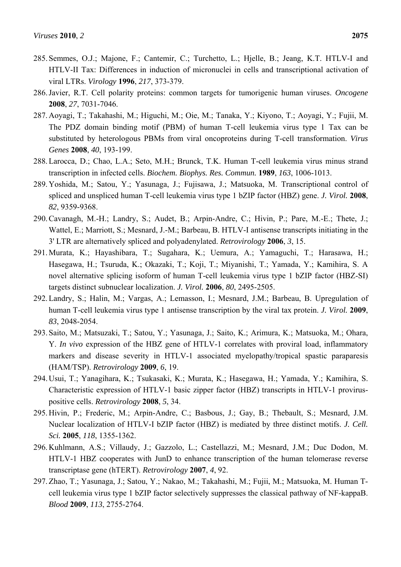- 285. Semmes, O.J.; Majone, F.; Cantemir, C.; Turchetto, L.; Hjelle, B.; Jeang, K.T. HTLV-I and HTLV-II Tax: Differences in induction of micronuclei in cells and transcriptional activation of viral LTRs. *Virology* **1996**, *217*, 373-379.
- 286. Javier, R.T. Cell polarity proteins: common targets for tumorigenic human viruses. *Oncogene*  **2008**, *27*, 7031-7046.
- 287. Aoyagi, T.; Takahashi, M.; Higuchi, M.; Oie, M.; Tanaka, Y.; Kiyono, T.; Aoyagi, Y.; Fujii, M. The PDZ domain binding motif (PBM) of human T-cell leukemia virus type 1 Tax can be substituted by heterologous PBMs from viral oncoproteins during T-cell transformation. *Virus Genes* **2008**, *40*, 193-199.
- 288. Larocca, D.; Chao, L.A.; Seto, M.H.; Brunck, T.K. Human T-cell leukemia virus minus strand transcription in infected cells. *Biochem. Biophys. Res. Commun.* **1989**, *163*, 1006-1013.
- 289. Yoshida, M.; Satou, Y.; Yasunaga, J.; Fujisawa, J.; Matsuoka, M. Transcriptional control of spliced and unspliced human T-cell leukemia virus type 1 bZIP factor (HBZ) gene. *J. Virol.* **2008**, *82*, 9359-9368.
- 290. Cavanagh, M.-H.; Landry, S.; Audet, B.; Arpin-Andre, C.; Hivin, P.; Pare, M.-E.; Thete, J.; Wattel, E.; Marriott, S.; Mesnard, J.-M.; Barbeau, B. HTLV-I antisense transcripts initiating in the 3' LTR are alternatively spliced and polyadenylated. *Retrovirology* **2006**, *3*, 15.
- 291. Murata, K.; Hayashibara, T.; Sugahara, K.; Uemura, A.; Yamaguchi, T.; Harasawa, H.; Hasegawa, H.; Tsuruda, K.; Okazaki, T.; Koji, T.; Miyanishi, T.; Yamada, Y.; Kamihira, S. A novel alternative splicing isoform of human T-cell leukemia virus type 1 bZIP factor (HBZ-SI) targets distinct subnuclear localization. *J. Virol.* **2006**, *80*, 2495-2505.
- 292. Landry, S.; Halin, M.; Vargas, A.; Lemasson, I.; Mesnard, J.M.; Barbeau, B. Upregulation of human T-cell leukemia virus type 1 antisense transcription by the viral tax protein. *J. Virol.* **2009**, *83*, 2048-2054.
- 293. Saito, M.; Matsuzaki, T.; Satou, Y.; Yasunaga, J.; Saito, K.; Arimura, K.; Matsuoka, M.; Ohara, Y. *In vivo* expression of the HBZ gene of HTLV-1 correlates with proviral load, inflammatory markers and disease severity in HTLV-1 associated myelopathy/tropical spastic paraparesis (HAM/TSP). *Retrovirology* **2009**, *6*, 19.
- 294. Usui, T.; Yanagihara, K.; Tsukasaki, K.; Murata, K.; Hasegawa, H.; Yamada, Y.; Kamihira, S. Characteristic expression of HTLV-1 basic zipper factor (HBZ) transcripts in HTLV-1 proviruspositive cells. *Retrovirology* **2008**, *5*, 34.
- 295. Hivin, P.; Frederic, M.; Arpin-Andre, C.; Basbous, J.; Gay, B.; Thebault, S.; Mesnard, J.M. Nuclear localization of HTLV-I bZIP factor (HBZ) is mediated by three distinct motifs. *J. Cell. Sci.* **2005**, *118*, 1355-1362.
- 296. Kuhlmann, A.S.; Villaudy, J.; Gazzolo, L.; Castellazzi, M.; Mesnard, J.M.; Duc Dodon, M. HTLV-1 HBZ cooperates with JunD to enhance transcription of the human telomerase reverse transcriptase gene (hTERT). *Retrovirology* **2007**, *4*, 92.
- 297. Zhao, T.; Yasunaga, J.; Satou, Y.; Nakao, M.; Takahashi, M.; Fujii, M.; Matsuoka, M. Human Tcell leukemia virus type 1 bZIP factor selectively suppresses the classical pathway of NF-kappaB. *Blood* **2009**, *113*, 2755-2764.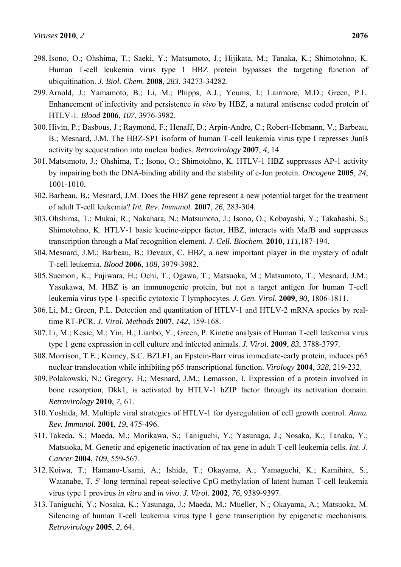- 298. Isono, O.; Ohshima, T.; Saeki, Y.; Matsumoto, J.; Hijikata, M.; Tanaka, K.; Shimotohno, K. Human T-cell leukemia virus type 1 HBZ protein bypasses the targeting function of ubiquitination. *J. Biol. Chem.* **2008**, *283*, 34273-34282.
- 299. Arnold, J.; Yamamoto, B.; Li, M.; Phipps, A.J.; Younis, I.; Lairmore, M.D.; Green, P.L. Enhancement of infectivity and persistence *in vivo* by HBZ, a natural antisense coded protein of HTLV-1. *Blood* **2006**, *107*, 3976-3982.
- 300. Hivin, P.; Basbous, J.; Raymond, F.; Henaff, D.; Arpin-Andre, C.; Robert-Hebmann, V.; Barbeau, B.; Mesnard, J.M. The HBZ-SP1 isoform of human T-cell leukemia virus type I represses JunB activity by sequestration into nuclear bodies. *Retrovirology* **2007**, *4*, 14.
- 301. Matsumoto, J.; Ohshima, T.; Isono, O.; Shimotohno, K. HTLV-1 HBZ suppresses AP-1 activity by impairing both the DNA-binding ability and the stability of c-Jun protein. *Oncogene* **2005**, *24*, 1001-1010.
- 302. Barbeau, B.; Mesnard, J.M. Does the HBZ gene represent a new potential target for the treatment of adult T-cell leukemia? *Int. Rev. Immunol.* **2007**, *26*, 283-304.
- 303. Ohshima, T.; Mukai, R.; Nakahara, N.; Matsumoto, J.; Isono, O.; Kobayashi, Y.; Takahashi, S.; Shimotohno, K. HTLV-1 basic leucine-zipper factor, HBZ, interacts with MafB and suppresses transcription through a Maf recognition element. *J. Cell. Biochem.* **2010**, *111*,187-194.
- 304. Mesnard, J.M.; Barbeau, B.; Devaux, C. HBZ, a new important player in the mystery of adult T-cell leukemia. *Blood* **2006**, *108*, 3979-3982.
- 305. Suemori, K.; Fujiwara, H.; Ochi, T.; Ogawa, T.; Matsuoka, M.; Matsumoto, T.; Mesnard, J.M.; Yasukawa, M. HBZ is an immunogenic protein, but not a target antigen for human T-cell leukemia virus type 1-specific cytotoxic T lymphocytes. *J. Gen. Virol.* **2009**, *90*, 1806-1811.
- 306. Li, M.; Green, P.L. Detection and quantitation of HTLV-1 and HTLV-2 mRNA species by realtime RT-PCR. *J. Virol. Methods* **2007**, *142*, 159-168.
- 307. Li, M.; Kesic, M.; Yin, H.; Lianbo, Y.; Green, P. Kinetic analysis of Human T-cell leukemia virus type 1 gene expression in cell culture and infected animals. *J. Virol.* **2009**, *83*, 3788-3797.
- 308. Morrison, T.E.; Kenney, S.C. BZLF1, an Epstein-Barr virus immediate-early protein, induces p65 nuclear translocation while inhibiting p65 transcriptional function. *Virology* **2004**, *328*, 219-232.
- 309. Polakowski, N.; Gregory, H.; Mesnard, J.M.; Lemasson, I. Expression of a protein involved in bone resorption, Dkk1, is activated by HTLV-1 bZIP factor through its activation domain. *Retrovirology* **2010**, *7*, 61.
- 310. Yoshida, M. Multiple viral strategies of HTLV-1 for dysregulation of cell growth control. *Annu. Rev. Immunol.* **2001**, *19*, 475-496.
- 311. Takeda, S.; Maeda, M.; Morikawa, S.; Taniguchi, Y.; Yasunaga, J.; Nosaka, K.; Tanaka, Y.; Matsuoka, M. Genetic and epigenetic inactivation of tax gene in adult T-cell leukemia cells. *Int. J. Cancer* **2004**, *109*, 559-567.
- 312. Koiwa, T.; Hamano-Usami, A.; Ishida, T.; Okayama, A.; Yamaguchi, K.; Kamihira, S.; Watanabe, T. 5'-long terminal repeat-selective CpG methylation of latent human T-cell leukemia virus type 1 provirus *in vitro* and *in vivo*. *J. Virol.* **2002**, *76*, 9389-9397.
- 313. Taniguchi, Y.; Nosaka, K.; Yasunaga, J.; Maeda, M.; Mueller, N.; Okayama, A.; Matsuoka, M. Silencing of human T-cell leukemia virus type I gene transcription by epigenetic mechanisms. *Retrovirology* **2005**, *2*, 64.